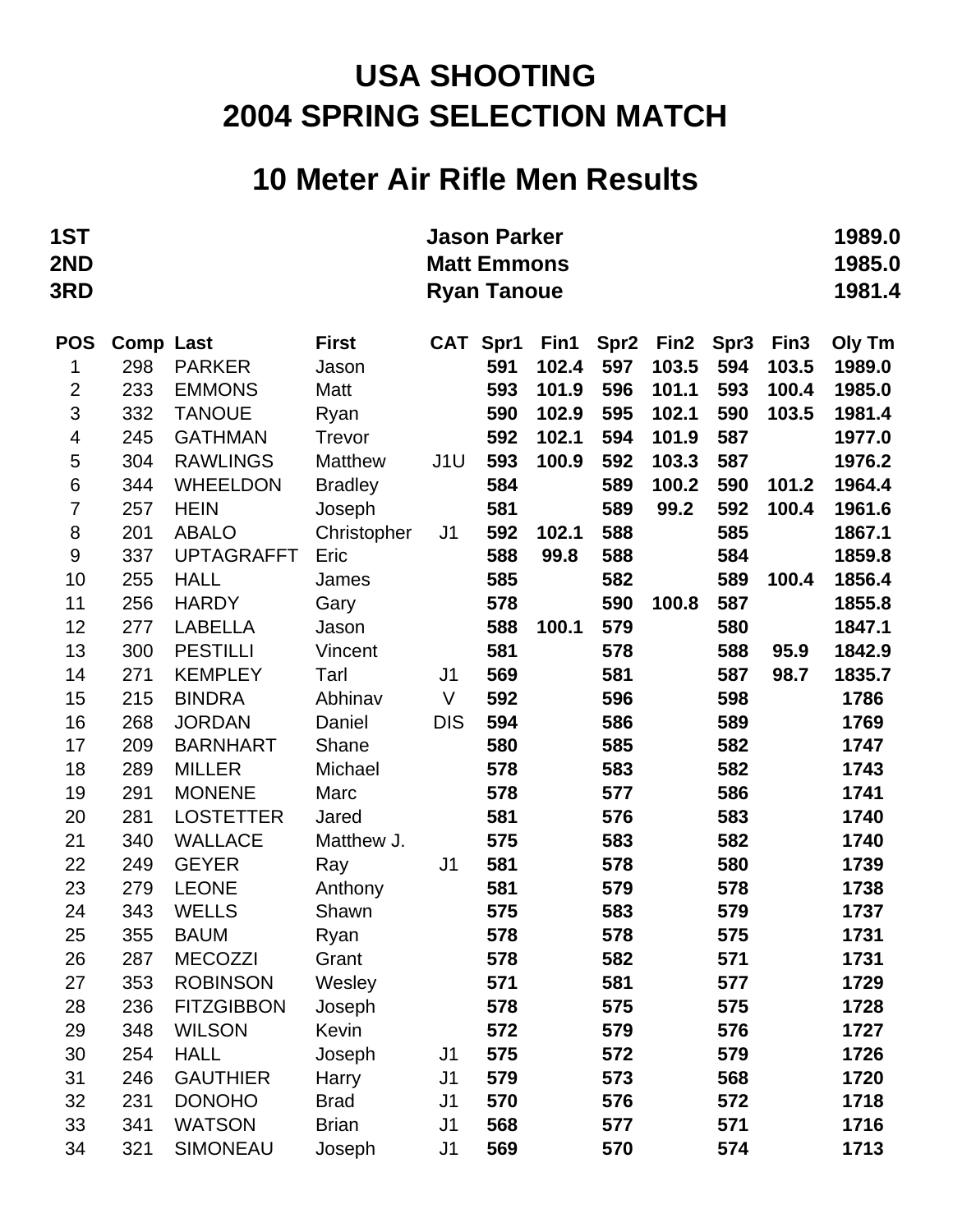## **10 Meter Air Rifle Men Results**

| 1ST<br>2ND<br>3RD       |                  |                                   |                     |                | <b>Jason Parker</b><br><b>Matt Emmons</b><br><b>Ryan Tanoue</b> |               |                  |                  |                  |                  | 1989.0<br>1985.0<br>1981.4 |
|-------------------------|------------------|-----------------------------------|---------------------|----------------|-----------------------------------------------------------------|---------------|------------------|------------------|------------------|------------------|----------------------------|
| <b>POS</b>              | <b>Comp Last</b> |                                   | <b>First</b>        |                | CAT Spr1                                                        | Fin1          | Spr <sub>2</sub> | Fin <sub>2</sub> | Spr <sub>3</sub> | Fin <sub>3</sub> | Oly Tm                     |
| 1                       | 298              | <b>PARKER</b>                     | Jason               |                | 591                                                             | 102.4         | 597              | 103.5            | 594              | 103.5            | 1989.0                     |
| $\mathbf{2}$            | 233              | <b>EMMONS</b>                     | Matt                |                | 593                                                             | 101.9         | 596              | 101.1            | 593              | 100.4            | 1985.0                     |
| 3                       | 332              | <b>TANOUE</b>                     | Ryan                |                | 590                                                             | 102.9         | 595              | 102.1            | 590              | 103.5            | 1981.4                     |
| $\overline{\mathbf{4}}$ | 245              | <b>GATHMAN</b>                    | <b>Trevor</b>       |                | 592                                                             | 102.1         | 594              | 101.9            | 587              |                  | 1977.0                     |
| 5                       | 304              | <b>RAWLINGS</b>                   | <b>Matthew</b>      | J1U            | 593                                                             | 100.9         | 592              | 103.3            | 587              |                  | 1976.2                     |
| $6\phantom{1}6$         | 344              | <b>WHEELDON</b>                   | <b>Bradley</b>      |                | 584                                                             |               | 589              | 100.2            | 590              | 101.2            | 1964.4                     |
| $\overline{7}$          | 257              | <b>HEIN</b>                       | Joseph              |                | 581                                                             |               | 589              | 99.2             | 592              | 100.4            | 1961.6                     |
| $\,8\,$                 | 201              | <b>ABALO</b><br><b>UPTAGRAFFT</b> | Christopher<br>Eric | J <sub>1</sub> | 592<br>588                                                      | 102.1<br>99.8 | 588<br>588       |                  | 585<br>584       |                  | 1867.1<br>1859.8           |
| 9<br>10                 | 337<br>255       | <b>HALL</b>                       | James               |                | 585                                                             |               | 582              |                  | 589              | 100.4            | 1856.4                     |
| 11                      | 256              | <b>HARDY</b>                      | Gary                |                | 578                                                             |               | 590              | 100.8            | 587              |                  | 1855.8                     |
| 12                      | 277              | <b>LABELLA</b>                    | Jason               |                | 588                                                             | 100.1         | 579              |                  | 580              |                  | 1847.1                     |
| 13                      | 300              | <b>PESTILLI</b>                   | Vincent             |                | 581                                                             |               | 578              |                  | 588              | 95.9             | 1842.9                     |
| 14                      | 271              | <b>KEMPLEY</b>                    | Tarl                | J <sub>1</sub> | 569                                                             |               | 581              |                  | 587              | 98.7             | 1835.7                     |
| 15                      | 215              | <b>BINDRA</b>                     | Abhinav             | $\vee$         | 592                                                             |               | 596              |                  | 598              |                  | 1786                       |
| 16                      | 268              | <b>JORDAN</b>                     | Daniel              | <b>DIS</b>     | 594                                                             |               | 586              |                  | 589              |                  | 1769                       |
| 17                      | 209              | <b>BARNHART</b>                   | Shane               |                | 580                                                             |               | 585              |                  | 582              |                  | 1747                       |
| 18                      | 289              | <b>MILLER</b>                     | Michael             |                | 578                                                             |               | 583              |                  | 582              |                  | 1743                       |
| 19                      | 291              | <b>MONENE</b>                     | Marc                |                | 578                                                             |               | 577              |                  | 586              |                  | 1741                       |
| 20                      | 281              | <b>LOSTETTER</b>                  | Jared               |                | 581                                                             |               | 576              |                  | 583              |                  | 1740                       |
| 21                      | 340              | <b>WALLACE</b>                    | Matthew J.          |                | 575                                                             |               | 583              |                  | 582              |                  | 1740                       |
| 22                      | 249              | <b>GEYER</b>                      | Ray                 | J <sub>1</sub> | 581                                                             |               | 578              |                  | 580              |                  | 1739                       |
| 23                      | 279              | <b>LEONE</b>                      | Anthony             |                | 581                                                             |               | 579              |                  | 578              |                  | 1738                       |
| 24                      | 343              | <b>WELLS</b>                      | Shawn               |                | 575                                                             |               | 583              |                  | 579              |                  | 1737                       |
| 25                      | 355              | <b>BAUM</b>                       | Ryan                |                | 578                                                             |               | 578              |                  | 575              |                  | 1731                       |
| 26                      | 287              | <b>MECOZZI</b>                    | Grant               |                | 578                                                             |               | 582              |                  | 571              |                  | 1731                       |
| 27                      | 353              | <b>ROBINSON</b>                   | Wesley              |                | 571                                                             |               | 581              |                  | 577              |                  | 1729                       |
| 28                      | 236              | <b>FITZGIBBON</b>                 | Joseph              |                | 578                                                             |               | 575              |                  | 575              |                  | 1728                       |
| 29                      | 348              | <b>WILSON</b>                     | Kevin               |                | 572                                                             |               | 579              |                  | 576              |                  | 1727                       |
| 30                      | 254              | <b>HALL</b>                       | Joseph              | J1             | 575                                                             |               | 572              |                  | 579              |                  | 1726                       |
| 31                      | 246              | <b>GAUTHIER</b>                   | Harry               | J <sub>1</sub> | 579                                                             |               | 573              |                  | 568              |                  | 1720                       |
| 32                      | 231              | <b>DONOHO</b>                     | <b>Brad</b>         | J <sub>1</sub> | 570                                                             |               | 576              |                  | 572              |                  | 1718                       |
| 33                      | 341              | <b>WATSON</b>                     | <b>Brian</b>        | J <sub>1</sub> | 568                                                             |               | 577              |                  | 571              |                  | 1716                       |
| 34                      | 321              | SIMONEAU                          | Joseph              | J1             | 569                                                             |               | 570              |                  | 574              |                  | 1713                       |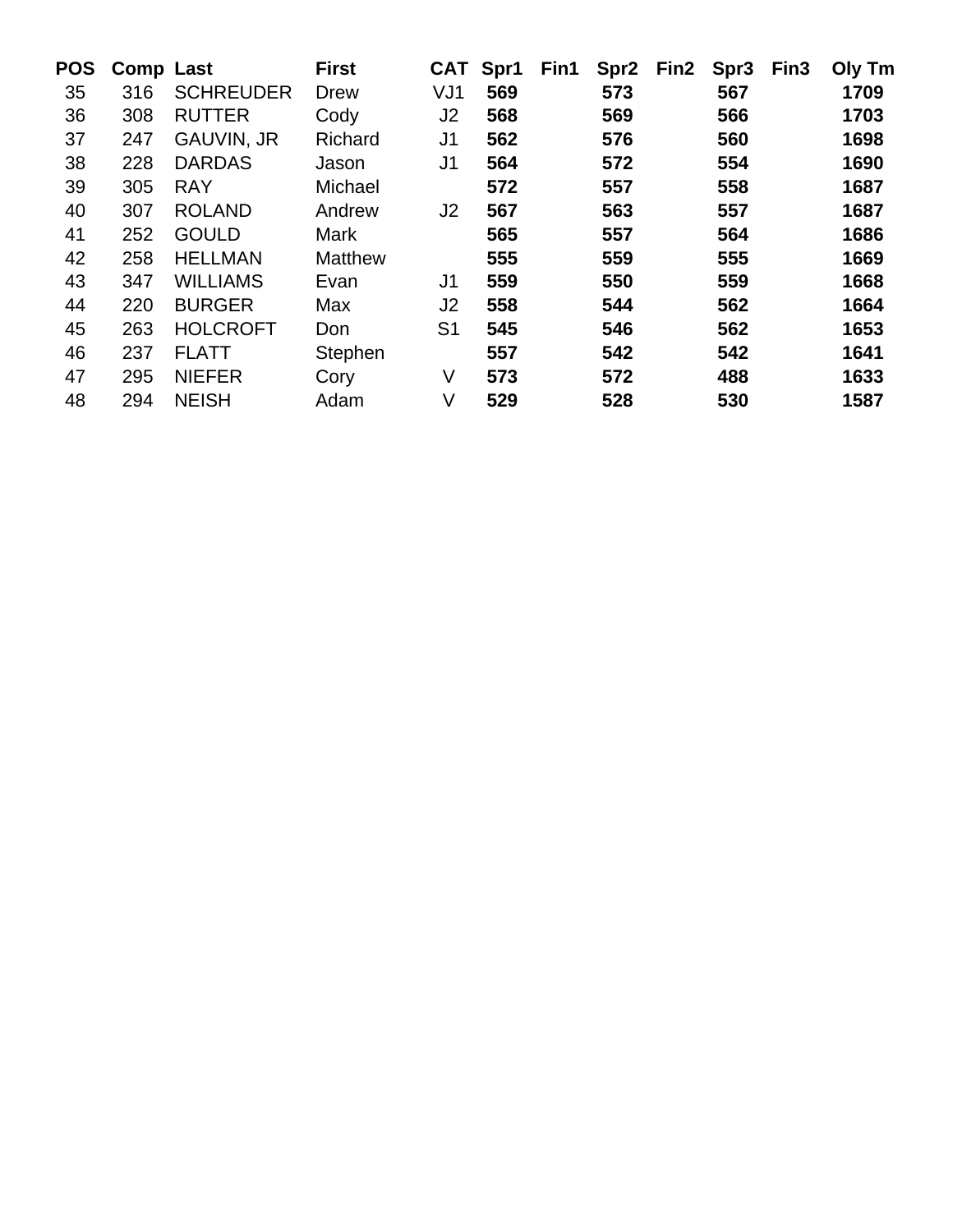| <b>POS</b> | <b>Comp Last</b> |                   | <b>First</b>   | <b>CAT</b>     | Spr1 | Fin1 | Spr <sub>2</sub> | Fin <sub>2</sub> | Spr <sub>3</sub> | Fin <sub>3</sub> | Oly Tm |
|------------|------------------|-------------------|----------------|----------------|------|------|------------------|------------------|------------------|------------------|--------|
| 35         | 316              | <b>SCHREUDER</b>  | Drew           | VJ1            | 569  |      | 573              |                  | 567              |                  | 1709   |
| 36         | 308              | <b>RUTTER</b>     | Cody           | J2             | 568  |      | 569              |                  | 566              |                  | 1703   |
| 37         | 247              | <b>GAUVIN, JR</b> | Richard        | J <sub>1</sub> | 562  |      | 576              |                  | 560              |                  | 1698   |
| 38         | 228              | <b>DARDAS</b>     | Jason          | J1             | 564  |      | 572              |                  | 554              |                  | 1690   |
| 39         | 305              | <b>RAY</b>        | Michael        |                | 572  |      | 557              |                  | 558              |                  | 1687   |
| 40         | 307              | <b>ROLAND</b>     | Andrew         | J2             | 567  |      | 563              |                  | 557              |                  | 1687   |
| 41         | 252              | <b>GOULD</b>      | <b>Mark</b>    |                | 565  |      | 557              |                  | 564              |                  | 1686   |
| 42         | 258              | <b>HELLMAN</b>    | <b>Matthew</b> |                | 555  |      | 559              |                  | 555              |                  | 1669   |
| 43         | 347              | <b>WILLIAMS</b>   | Evan           | J1             | 559  |      | 550              |                  | 559              |                  | 1668   |
| 44         | 220              | <b>BURGER</b>     | Max            | J2             | 558  |      | 544              |                  | 562              |                  | 1664   |
| 45         | 263              | <b>HOLCROFT</b>   | Don            | S <sub>1</sub> | 545  |      | 546              |                  | 562              |                  | 1653   |
| 46         | 237              | <b>FLATT</b>      | Stephen        |                | 557  |      | 542              |                  | 542              |                  | 1641   |
| 47         | 295              | <b>NIEFER</b>     | Cory           | V              | 573  |      | 572              |                  | 488              |                  | 1633   |
| 48         | 294              | <b>NEISH</b>      | Adam           | V              | 529  |      | 528              |                  | 530              |                  | 1587   |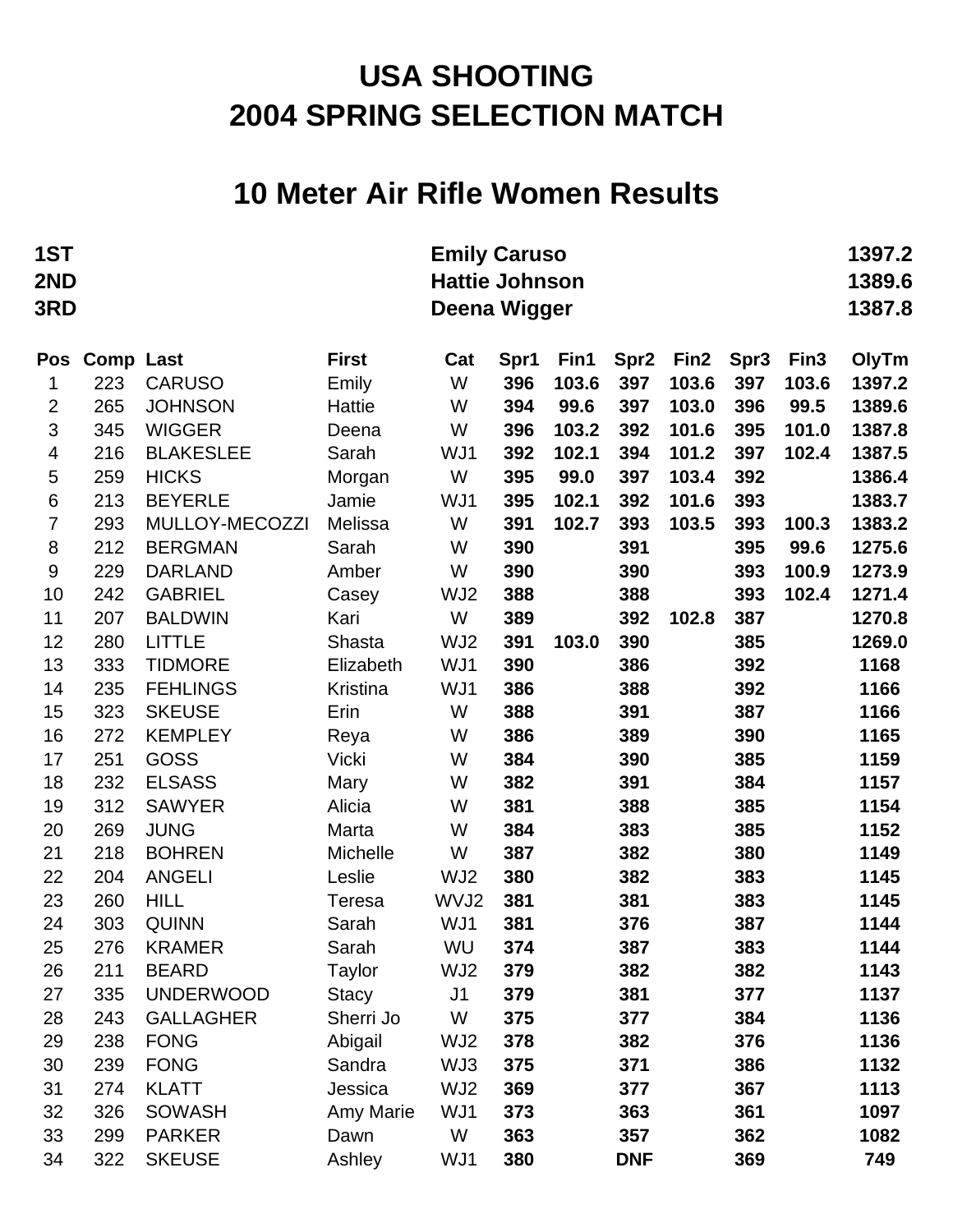#### **10 Meter Air Rifle Women Results**

| 1ST<br>2ND<br>3RD | <b>Emily Caruso</b><br><b>Hattie Johnson</b><br>Deena Wigger |                               |                           |                |            |       |                  |                  |            | 1397.2<br>1389.6<br>1387.8 |              |
|-------------------|--------------------------------------------------------------|-------------------------------|---------------------------|----------------|------------|-------|------------------|------------------|------------|----------------------------|--------------|
| Pos               | <b>Comp Last</b>                                             |                               | <b>First</b>              | Cat            | Spr1       | Fin1  | Spr <sub>2</sub> | Fin <sub>2</sub> | Spr3       | Fin <sub>3</sub>           | OlyTm        |
| 1                 | 223                                                          | <b>CARUSO</b>                 | Emily                     | W              | 396        | 103.6 | 397              | 103.6            | 397        | 103.6                      | 1397.2       |
| $\overline{2}$    | 265                                                          | <b>JOHNSON</b>                | Hattie                    | W              | 394        | 99.6  | 397              | 103.0            | 396        | 99.5                       | 1389.6       |
| 3                 | 345                                                          | <b>WIGGER</b>                 | Deena                     | W              | 396        | 103.2 | 392              | 101.6            | 395        | 101.0                      | 1387.8       |
| 4                 | 216                                                          | <b>BLAKESLEE</b>              | Sarah                     | WJ1            | 392        | 102.1 | 394              | 101.2            | 397        | 102.4                      | 1387.5       |
| 5                 | 259                                                          | <b>HICKS</b>                  | Morgan                    | W              | 395        | 99.0  | 397              | 103.4            | 392        |                            | 1386.4       |
| 6                 | 213                                                          | <b>BEYERLE</b>                | Jamie                     | WJ1            | 395        | 102.1 | 392              | 101.6            | 393        |                            | 1383.7       |
| $\overline{7}$    | 293                                                          | MULLOY-MECOZZI                | Melissa                   | W              | 391        | 102.7 | 393              | 103.5            | 393        | 100.3                      | 1383.2       |
| $\,8\,$           | 212                                                          | <b>BERGMAN</b>                | Sarah                     | W              | 390        |       | 391              |                  | 395        | 99.6                       | 1275.6       |
| 9                 | 229                                                          | <b>DARLAND</b>                | Amber                     | W              | 390        |       | 390              |                  | 393        | 100.9                      | 1273.9       |
| 10                | 242                                                          | <b>GABRIEL</b>                | Casey                     | WJ2            | 388        |       | 388              |                  | 393        | 102.4                      | 1271.4       |
| 11                | 207                                                          | <b>BALDWIN</b>                | Kari                      | W              | 389        |       | 392              | 102.8            | 387        |                            | 1270.8       |
| 12                | 280                                                          | <b>LITTLE</b>                 | Shasta                    | WJ2            | 391        | 103.0 | 390              |                  | 385        |                            | 1269.0       |
| 13                | 333                                                          | <b>TIDMORE</b>                | Elizabeth                 | WJ1            | 390        |       | 386              |                  | 392        |                            | 1168         |
| 14                | 235                                                          | <b>FEHLINGS</b>               | Kristina                  | WJ1            | 386        |       | 388              |                  | 392        |                            | 1166         |
| 15                | 323                                                          | <b>SKEUSE</b>                 | Erin                      | W              | 388        |       | 391              |                  | 387        |                            | 1166         |
| 16                | 272                                                          | <b>KEMPLEY</b>                | Reya                      | W              | 386        |       | 389              |                  | 390        |                            | 1165         |
| 17                | 251                                                          | <b>GOSS</b>                   | Vicki                     | W              | 384        |       | 390              |                  | 385        |                            | 1159         |
| 18                | 232                                                          | <b>ELSASS</b>                 | Mary                      | W              | 382        |       | 391              |                  | 384        |                            | 1157         |
| 19                | 312                                                          | <b>SAWYER</b>                 | Alicia                    | W              | 381        |       | 388              |                  | 385        |                            | 1154         |
| 20                | 269                                                          | <b>JUNG</b>                   | Marta                     | W              | 384        |       | 383              |                  | 385        |                            | 1152         |
| 21                | 218                                                          | <b>BOHREN</b>                 | Michelle                  | W              | 387        |       | 382              |                  | 380        |                            | 1149         |
| 22                | 204                                                          | <b>ANGELI</b>                 | Leslie                    | WJ2            | 380        |       | 382              |                  | 383        |                            | 1145         |
| 23                | 260                                                          | <b>HILL</b>                   | Teresa                    | WVJ2           | 381        |       | 381              |                  | 383        |                            | 1145         |
| 24                | 303                                                          | <b>QUINN</b><br><b>KRAMER</b> | Sarah<br>Sarah            | WJ1<br>WU      | 381        |       | 376              |                  | 387        |                            | 1144<br>1144 |
| 25<br>26          | 276<br>211                                                   | <b>BEARD</b>                  |                           | WJ2            | 374        |       | 387              |                  | 383<br>382 |                            | 1143         |
| 27                | 335                                                          | <b>UNDERWOOD</b>              | Taylor                    | J <sub>1</sub> | 379<br>379 |       | 382<br>381       |                  | 377        |                            | 1137         |
| 28                | 243                                                          | <b>GALLAGHER</b>              | <b>Stacy</b><br>Sherri Jo | W              | 375        |       | 377              |                  | 384        |                            | 1136         |
| 29                | 238                                                          | <b>FONG</b>                   | Abigail                   | WJ2            | 378        |       | 382              |                  | 376        |                            | 1136         |
| 30                | 239                                                          | <b>FONG</b>                   | Sandra                    | WJ3            | 375        |       | 371              |                  | 386        |                            | 1132         |
| 31                | 274                                                          | <b>KLATT</b>                  | Jessica                   | WJ2            | 369        |       | 377              |                  | 367        |                            | 1113         |
| 32                | 326                                                          | <b>SOWASH</b>                 | Amy Marie                 | WJ1            | 373        |       | 363              |                  | 361        |                            | 1097         |
| 33                | 299                                                          | <b>PARKER</b>                 | Dawn                      | W              | 363        |       | 357              |                  | 362        |                            | 1082         |
| 34                | 322                                                          | <b>SKEUSE</b>                 | Ashley                    | WJ1            | 380        |       | <b>DNF</b>       |                  | 369        |                            | 749          |
|                   |                                                              |                               |                           |                |            |       |                  |                  |            |                            |              |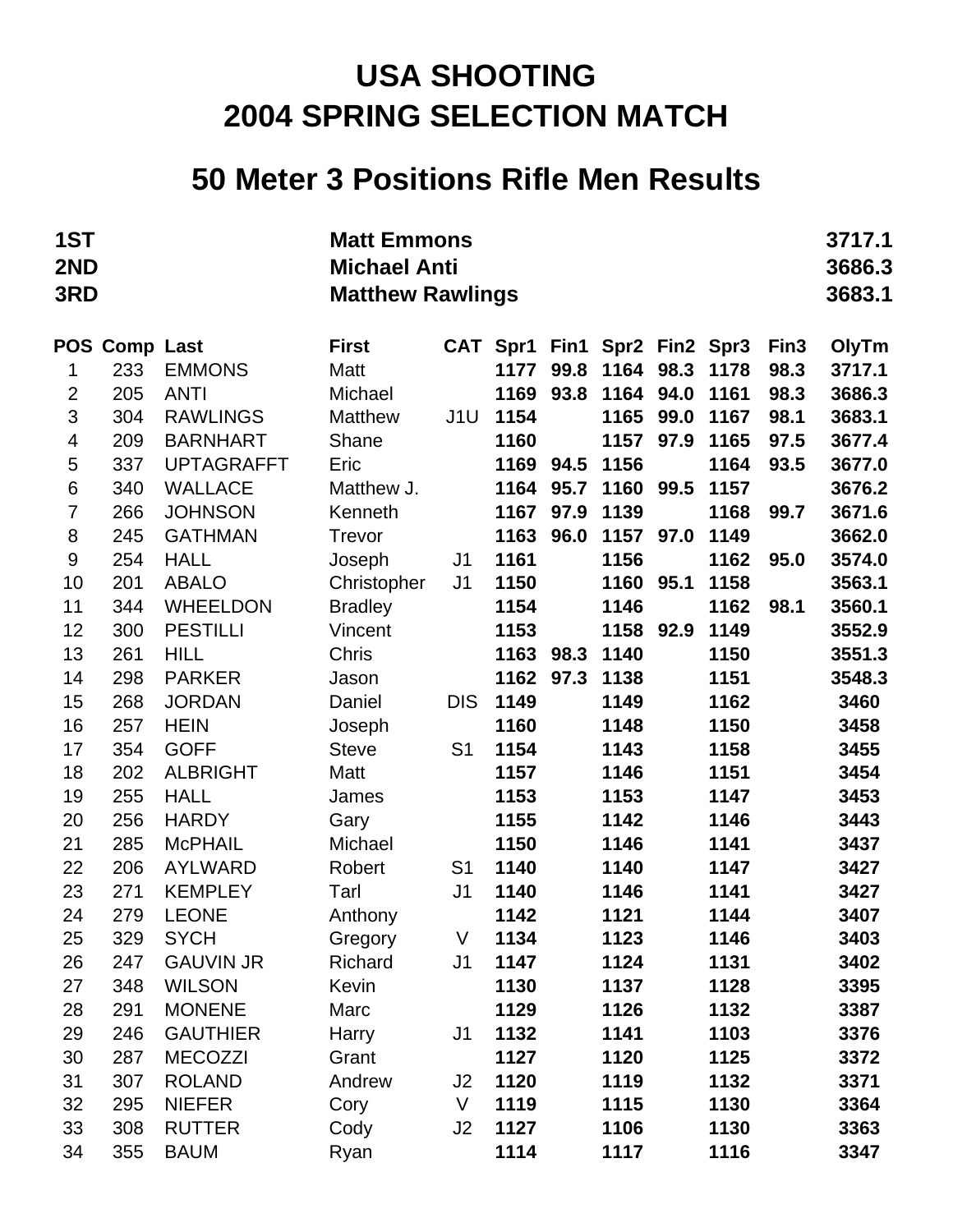### **50 Meter 3 Positions Rifle Men Results**

| 1ST<br>2ND<br>3RD |               |                   | <b>Matt Emmons</b><br><b>Michael Anti</b><br><b>Matthew Rawlings</b> |                |           |      |                     |      |      |                  | 3717.1<br>3686.3<br>3683.1 |
|-------------------|---------------|-------------------|----------------------------------------------------------------------|----------------|-----------|------|---------------------|------|------|------------------|----------------------------|
|                   | POS Comp Last |                   | <b>First</b>                                                         |                | CAT Spr1  |      | Fin1 Spr2 Fin2 Spr3 |      |      | Fin <sub>3</sub> | OlyTm                      |
| 1                 | 233           | <b>EMMONS</b>     | Matt                                                                 |                | 1177      | 99.8 | 1164                | 98.3 | 1178 | 98.3             | 3717.1                     |
| $\overline{2}$    | 205           | <b>ANTI</b>       | Michael                                                              |                | 1169      | 93.8 | 1164                | 94.0 | 1161 | 98.3             | 3686.3                     |
| 3                 | 304           | <b>RAWLINGS</b>   | <b>Matthew</b>                                                       | J1U            | 1154      |      | 1165                | 99.0 | 1167 | 98.1             | 3683.1                     |
| 4                 | 209           | <b>BARNHART</b>   | Shane                                                                |                | 1160      |      | 1157                | 97.9 | 1165 | 97.5             | 3677.4                     |
| 5                 | 337           | <b>UPTAGRAFFT</b> | Eric                                                                 |                | 1169      | 94.5 | 1156                |      | 1164 | 93.5             | 3677.0                     |
| 6                 | 340           | <b>WALLACE</b>    | Matthew J.                                                           |                | 1164      | 95.7 | 1160                | 99.5 | 1157 |                  | 3676.2                     |
| 7                 | 266           | <b>JOHNSON</b>    | Kenneth                                                              |                | 1167      | 97.9 | 1139                |      | 1168 | 99.7             | 3671.6                     |
| 8                 | 245           | <b>GATHMAN</b>    | Trevor                                                               |                | 1163      | 96.0 | 1157                | 97.0 | 1149 |                  | 3662.0                     |
| 9                 | 254           | <b>HALL</b>       | Joseph                                                               | J1             | 1161      |      | 1156                |      | 1162 | 95.0             | 3574.0                     |
| 10                | 201           | <b>ABALO</b>      | Christopher                                                          | J <sub>1</sub> | 1150      |      | 1160                | 95.1 | 1158 |                  | 3563.1                     |
| 11                | 344           | <b>WHEELDON</b>   | <b>Bradley</b>                                                       |                | 1154      |      | 1146                |      | 1162 | 98.1             | 3560.1                     |
| 12                | 300           | <b>PESTILLI</b>   | Vincent                                                              |                | 1153      |      | 1158                | 92.9 | 1149 |                  | 3552.9                     |
| 13                | 261           | <b>HILL</b>       | Chris                                                                |                | 1163 98.3 |      | 1140                |      | 1150 |                  | 3551.3                     |
| 14                | 298           | <b>PARKER</b>     | Jason                                                                |                | 1162      | 97.3 | 1138                |      | 1151 |                  | 3548.3                     |
| 15                | 268           | <b>JORDAN</b>     | Daniel                                                               | <b>DIS</b>     | 1149      |      | 1149                |      | 1162 |                  | 3460                       |
| 16                | 257           | <b>HEIN</b>       | Joseph                                                               |                | 1160      |      | 1148                |      | 1150 |                  | 3458                       |
| 17                | 354           | <b>GOFF</b>       | <b>Steve</b>                                                         | S <sub>1</sub> | 1154      |      | 1143                |      | 1158 |                  | 3455                       |
| 18                | 202           | <b>ALBRIGHT</b>   | Matt                                                                 |                | 1157      |      | 1146                |      | 1151 |                  | 3454                       |
| 19                | 255           | <b>HALL</b>       | James                                                                |                | 1153      |      | 1153                |      | 1147 |                  | 3453                       |
| 20                | 256           | <b>HARDY</b>      | Gary                                                                 |                | 1155      |      | 1142                |      | 1146 |                  | 3443                       |
| 21                | 285           | <b>McPHAIL</b>    | Michael                                                              |                | 1150      |      | 1146                |      | 1141 |                  | 3437                       |
| 22                | 206           | <b>AYLWARD</b>    | Robert                                                               | S <sub>1</sub> | 1140      |      | 1140                |      | 1147 |                  | 3427                       |
| 23                | 271           | <b>KEMPLEY</b>    | Tarl                                                                 | J <sub>1</sub> | 1140      |      | 1146                |      | 1141 |                  | 3427                       |
| 24                | 279           | <b>LEONE</b>      | Anthony                                                              |                | 1142      |      | 1121                |      | 1144 |                  | 3407                       |
| 25                | 329           | <b>SYCH</b>       | Gregory                                                              | V              | 1134      |      | 1123                |      | 1146 |                  | 3403                       |
| 26                | 247           | <b>GAUVIN JR</b>  | Richard                                                              | J <sub>1</sub> | 1147      |      | 1124                |      | 1131 |                  | 3402                       |
| 27                | 348           | <b>WILSON</b>     | Kevin                                                                |                | 1130      |      | 1137                |      | 1128 |                  | 3395                       |
| 28                | 291           | <b>MONENE</b>     | Marc                                                                 |                | 1129      |      | 1126                |      | 1132 |                  | 3387                       |
| 29                | 246           | <b>GAUTHIER</b>   | Harry                                                                | J1             | 1132      |      | 1141                |      | 1103 |                  | 3376                       |
| 30                | 287           | <b>MECOZZI</b>    | Grant                                                                |                | 1127      |      | 1120                |      | 1125 |                  | 3372                       |
| 31                | 307           | <b>ROLAND</b>     | Andrew                                                               | J2             | 1120      |      | 1119                |      | 1132 |                  | 3371                       |
| 32                | 295           | <b>NIEFER</b>     | Cory                                                                 | V              | 1119      |      | 1115                |      | 1130 |                  | 3364                       |
| 33                | 308           | <b>RUTTER</b>     | Cody                                                                 | J2             | 1127      |      | 1106                |      | 1130 |                  | 3363                       |
| 34                | 355           | <b>BAUM</b>       | Ryan                                                                 |                | 1114      |      | 1117                |      | 1116 |                  | 3347                       |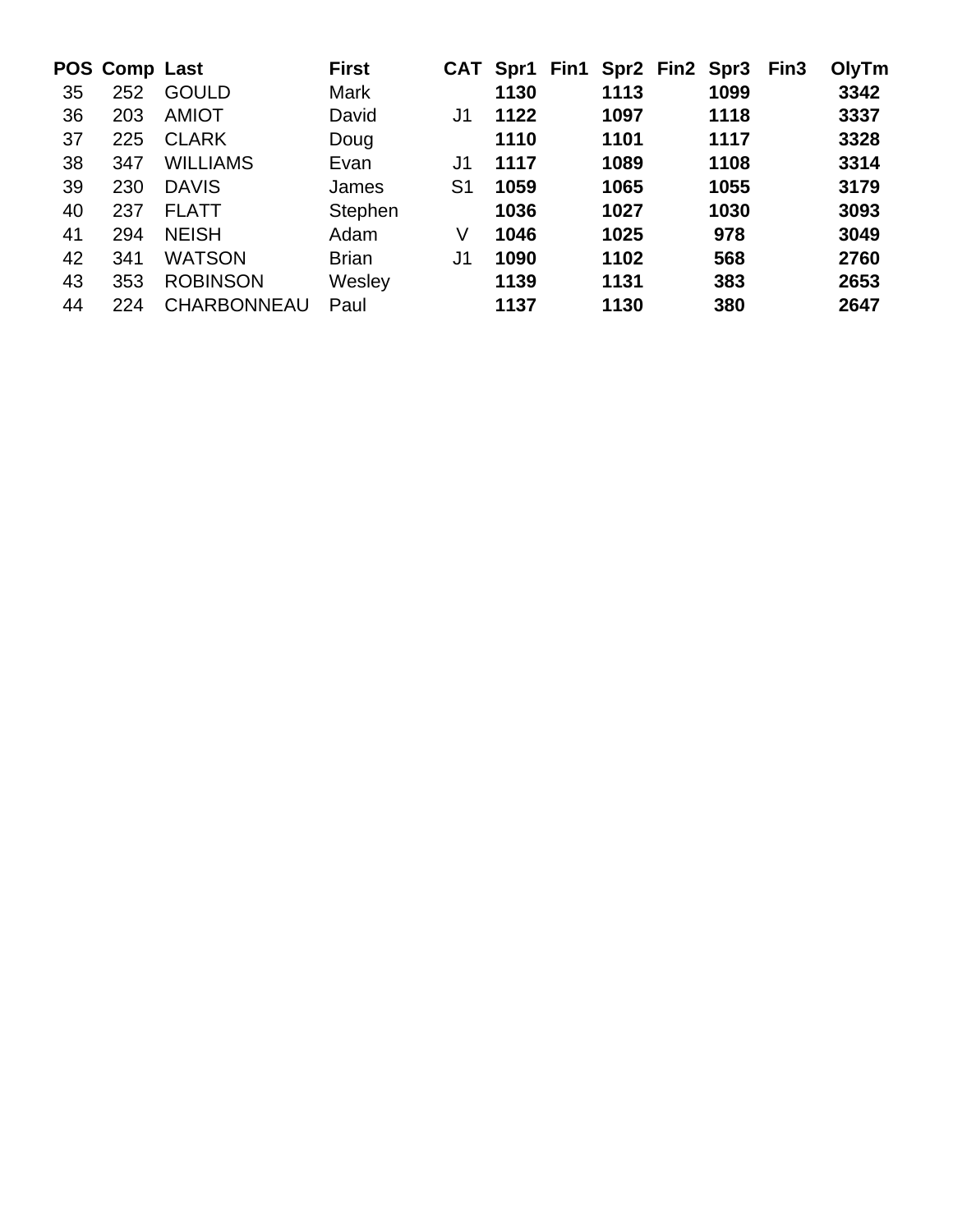|    | POS Comp Last |                    | <b>First</b> |                | CAT Spr1 Fin1 Spr2 Fin2 Spr3 |      |      | Fin <sub>3</sub> | OlyTm |
|----|---------------|--------------------|--------------|----------------|------------------------------|------|------|------------------|-------|
| 35 | 252           | <b>GOULD</b>       | Mark         |                | 1130                         | 1113 | 1099 |                  | 3342  |
| 36 | 203           | <b>AMIOT</b>       | David        | J1             | 1122                         | 1097 | 1118 |                  | 3337  |
| 37 | 225           | <b>CLARK</b>       | Doug         |                | 1110                         | 1101 | 1117 |                  | 3328  |
| 38 | 347           | <b>WILLIAMS</b>    | Evan         | J1             | 1117                         | 1089 | 1108 |                  | 3314  |
| 39 | 230           | <b>DAVIS</b>       | James        | S <sub>1</sub> | 1059                         | 1065 | 1055 |                  | 3179  |
| 40 | 237           | <b>FLATT</b>       | Stephen      |                | 1036                         | 1027 | 1030 |                  | 3093  |
| 41 | 294           | <b>NEISH</b>       | Adam         | V              | 1046                         | 1025 | 978  |                  | 3049  |
| 42 | 341           | <b>WATSON</b>      | <b>Brian</b> | J <sub>1</sub> | 1090                         | 1102 | 568  |                  | 2760  |
| 43 | 353           | <b>ROBINSON</b>    | Wesley       |                | 1139                         | 1131 | 383  |                  | 2653  |
| 44 | 224           | <b>CHARBONNEAU</b> | Paul         |                | 1137                         | 1130 | 380  |                  | 2647  |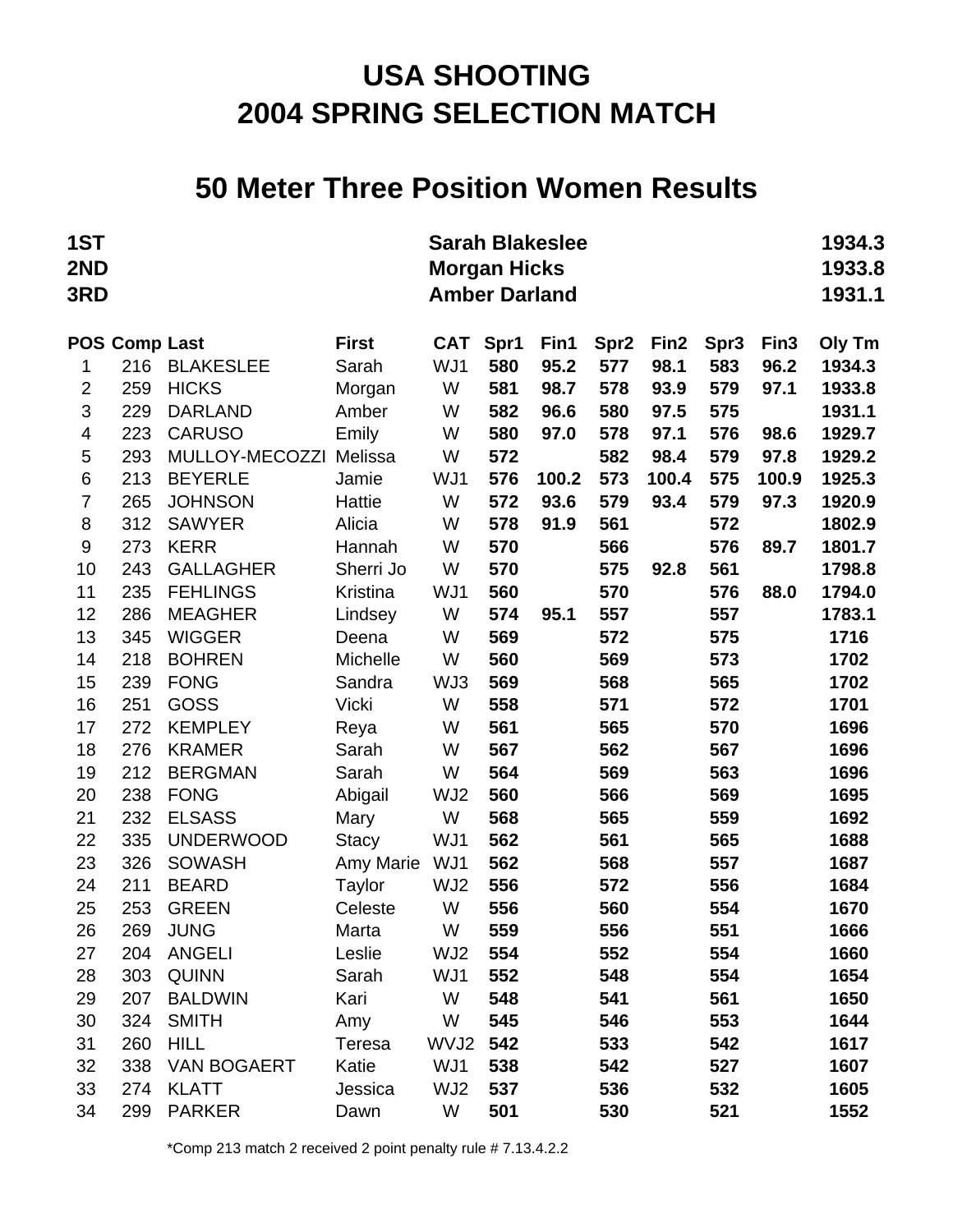#### **50 Meter Three Position Women Results**

| 1ST<br>2ND<br>3RD |                      |                    |              | <b>Sarah Blakeslee</b><br><b>Morgan Hicks</b><br><b>Amber Darland</b> |      |       |                  |                  |      |                  | 1934.3<br>1933.8<br>1931.1 |
|-------------------|----------------------|--------------------|--------------|-----------------------------------------------------------------------|------|-------|------------------|------------------|------|------------------|----------------------------|
|                   | <b>POS Comp Last</b> |                    | <b>First</b> | <b>CAT</b>                                                            | Spr1 | Fin1  | Spr <sub>2</sub> | Fin <sub>2</sub> | Spr3 | Fin <sub>3</sub> | Oly Tm                     |
| 1                 | 216                  | <b>BLAKESLEE</b>   | Sarah        | WJ1                                                                   | 580  | 95.2  | 577              | 98.1             | 583  | 96.2             | 1934.3                     |
| $\overline{c}$    | 259                  | <b>HICKS</b>       | Morgan       | W                                                                     | 581  | 98.7  | 578              | 93.9             | 579  | 97.1             | 1933.8                     |
| 3                 | 229                  | <b>DARLAND</b>     | Amber        | W                                                                     | 582  | 96.6  | 580              | 97.5             | 575  |                  | 1931.1                     |
| 4                 | 223                  | <b>CARUSO</b>      | Emily        | W                                                                     | 580  | 97.0  | 578              | 97.1             | 576  | 98.6             | 1929.7                     |
| 5                 | 293                  | MULLOY-MECOZZI     | Melissa      | W                                                                     | 572  |       | 582              | 98.4             | 579  | 97.8             | 1929.2                     |
| 6                 | 213                  | <b>BEYERLE</b>     | Jamie        | WJ1                                                                   | 576  | 100.2 | 573              | 100.4            | 575  | 100.9            | 1925.3                     |
| 7                 | 265                  | <b>JOHNSON</b>     | Hattie       | W                                                                     | 572  | 93.6  | 579              | 93.4             | 579  | 97.3             | 1920.9                     |
| 8                 | 312                  | <b>SAWYER</b>      | Alicia       | W                                                                     | 578  | 91.9  | 561              |                  | 572  |                  | 1802.9                     |
| 9                 | 273                  | <b>KERR</b>        | Hannah       | W                                                                     | 570  |       | 566              |                  | 576  | 89.7             | 1801.7                     |
| 10                | 243                  | <b>GALLAGHER</b>   | Sherri Jo    | W                                                                     | 570  |       | 575              | 92.8             | 561  |                  | 1798.8                     |
| 11                | 235                  | <b>FEHLINGS</b>    | Kristina     | WJ1                                                                   | 560  |       | 570              |                  | 576  | 88.0             | 1794.0                     |
| 12                | 286                  | <b>MEAGHER</b>     | Lindsey      | W                                                                     | 574  | 95.1  | 557              |                  | 557  |                  | 1783.1                     |
| 13                | 345                  | <b>WIGGER</b>      | Deena        | W                                                                     | 569  |       | 572              |                  | 575  |                  | 1716                       |
| 14                | 218                  | <b>BOHREN</b>      | Michelle     | W                                                                     | 560  |       | 569              |                  | 573  |                  | 1702                       |
| 15                | 239                  | <b>FONG</b>        | Sandra       | WJ3                                                                   | 569  |       | 568              |                  | 565  |                  | 1702                       |
| 16                | 251                  | <b>GOSS</b>        | <b>Vicki</b> | W                                                                     | 558  |       | 571              |                  | 572  |                  | 1701                       |
| 17                | 272                  | <b>KEMPLEY</b>     | Reya         | W                                                                     | 561  |       | 565              |                  | 570  |                  | 1696                       |
| 18                | 276                  | <b>KRAMER</b>      | Sarah        | W                                                                     | 567  |       | 562              |                  | 567  |                  | 1696                       |
| 19                | 212                  | <b>BERGMAN</b>     | Sarah        | W                                                                     | 564  |       | 569              |                  | 563  |                  | 1696                       |
| 20                | 238                  | <b>FONG</b>        | Abigail      | WJ2                                                                   | 560  |       | 566              |                  | 569  |                  | 1695                       |
| 21                | 232                  | <b>ELSASS</b>      | Mary         | W                                                                     | 568  |       | 565              |                  | 559  |                  | 1692                       |
| 22                | 335                  | <b>UNDERWOOD</b>   | <b>Stacy</b> | WJ1                                                                   | 562  |       | 561              |                  | 565  |                  | 1688                       |
| 23                | 326                  | <b>SOWASH</b>      | Amy Marie    | WJ1                                                                   | 562  |       | 568              |                  | 557  |                  | 1687                       |
| 24                | 211                  | <b>BEARD</b>       | Taylor       | WJ2                                                                   | 556  |       | 572              |                  | 556  |                  | 1684                       |
| 25                | 253                  | <b>GREEN</b>       | Celeste      | W                                                                     | 556  |       | 560              |                  | 554  |                  | 1670                       |
| 26                | 269                  | <b>JUNG</b>        | Marta        | W                                                                     | 559  |       | 556              |                  | 551  |                  | 1666                       |
| 27                | 204                  | <b>ANGELI</b>      | Leslie       | WJ2                                                                   | 554  |       | 552              |                  | 554  |                  | 1660                       |
| 28                | 303                  | <b>QUINN</b>       | Sarah        | WJ1                                                                   | 552  |       | 548              |                  | 554  |                  | 1654                       |
| 29                | 207                  | <b>BALDWIN</b>     | Kari         | W                                                                     | 548  |       | 541              |                  | 561  |                  | 1650                       |
| 30                | 324                  | <b>SMITH</b>       | Amy          | W                                                                     | 545  |       | 546              |                  | 553  |                  | 1644                       |
| 31                | 260                  | <b>HILL</b>        | Teresa       | WVJ2                                                                  | 542  |       | 533              |                  | 542  |                  | 1617                       |
| 32                | 338                  | <b>VAN BOGAERT</b> | Katie        | WJ1                                                                   | 538  |       | 542              |                  | 527  |                  | 1607                       |
| 33                | 274                  | <b>KLATT</b>       | Jessica      | WJ2                                                                   | 537  |       | 536              |                  | 532  |                  | 1605                       |
| 34                | 299                  | <b>PARKER</b>      | Dawn         | W                                                                     | 501  |       | 530              |                  | 521  |                  | 1552                       |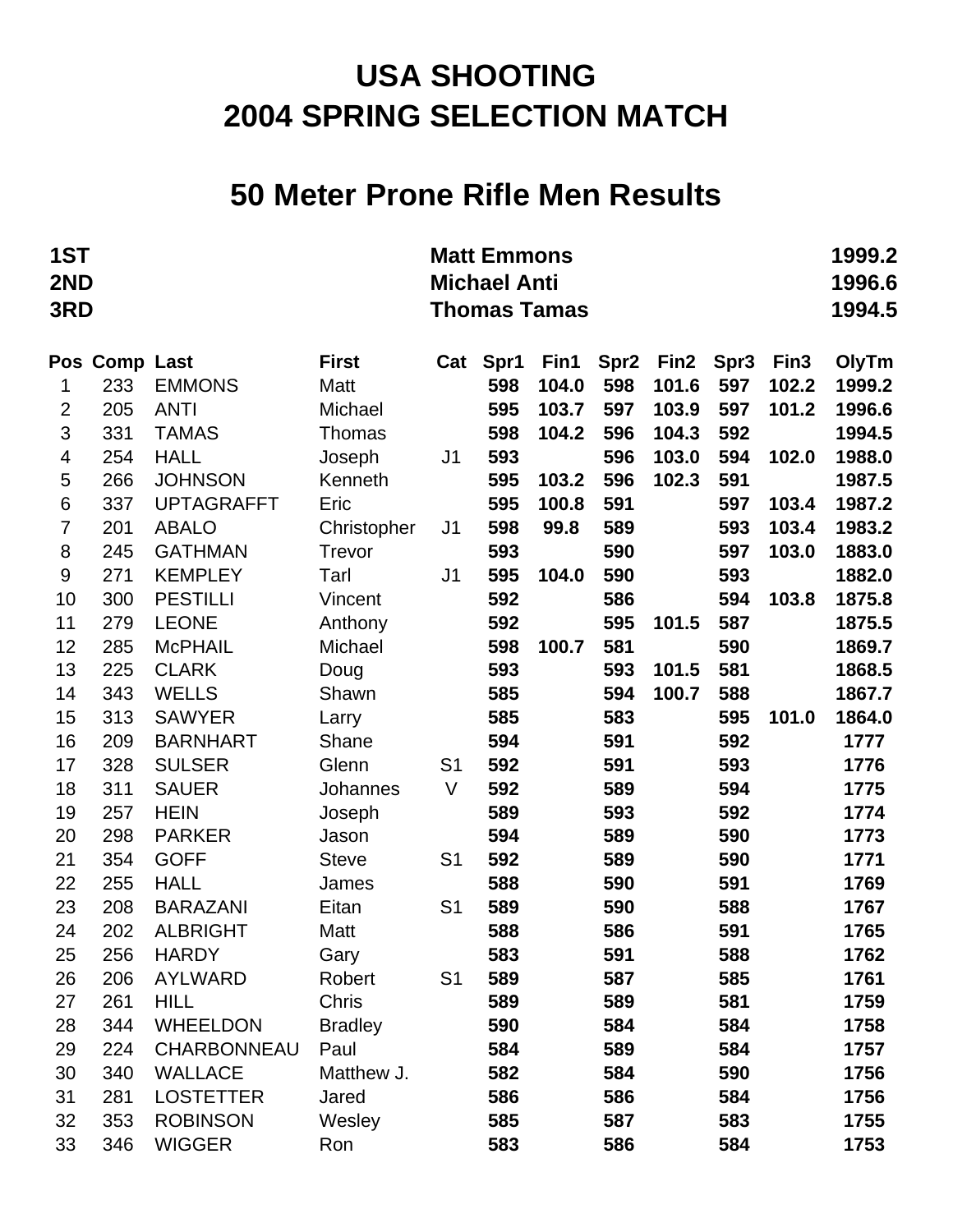#### **50 Meter Prone Rifle Men Results**

| 1ST<br>2ND<br>3RD |               |                    |                |                | <b>Matt Emmons</b><br><b>Michael Anti</b> | <b>Thomas Tamas</b> |                  |                  |                  |                  | 1999.2<br>1996.6<br>1994.5 |
|-------------------|---------------|--------------------|----------------|----------------|-------------------------------------------|---------------------|------------------|------------------|------------------|------------------|----------------------------|
|                   | Pos Comp Last |                    | <b>First</b>   | Cat            | Spr1                                      | Fin1                | Spr <sub>2</sub> | Fin <sub>2</sub> | Spr <sub>3</sub> | Fin <sub>3</sub> | OlyTm                      |
| 1                 | 233           | <b>EMMONS</b>      | Matt           |                | 598                                       | 104.0               | 598              | 101.6            | 597              | 102.2            | 1999.2                     |
| $\overline{2}$    | 205           | <b>ANTI</b>        | Michael        |                | 595                                       | 103.7               | 597              | 103.9            | 597              | 101.2            | 1996.6                     |
| 3                 | 331           | <b>TAMAS</b>       | Thomas         |                | 598                                       | 104.2               | 596              | 104.3            | 592              |                  | 1994.5                     |
| 4                 | 254           | <b>HALL</b>        | Joseph         | J <sub>1</sub> | 593                                       |                     | 596              | 103.0            | 594              | 102.0            | 1988.0                     |
| 5                 | 266           | <b>JOHNSON</b>     | Kenneth        |                | 595                                       | 103.2               | 596              | 102.3            | 591              |                  | 1987.5                     |
| $\,6\,$           | 337           | <b>UPTAGRAFFT</b>  | Eric           |                | 595                                       | 100.8               | 591              |                  | 597              | 103.4            | 1987.2                     |
| $\overline{7}$    | 201           | <b>ABALO</b>       | Christopher    | J <sub>1</sub> | 598                                       | 99.8                | 589              |                  | 593              | 103.4            | 1983.2                     |
| 8                 | 245           | <b>GATHMAN</b>     | Trevor         |                | 593                                       |                     | 590              |                  | 597              | 103.0            | 1883.0                     |
| 9                 | 271           | <b>KEMPLEY</b>     | Tarl           | J <sub>1</sub> | 595                                       | 104.0               | 590              |                  | 593              |                  | 1882.0                     |
| 10                | 300           | <b>PESTILLI</b>    | Vincent        |                | 592                                       |                     | 586              |                  | 594              | 103.8            | 1875.8                     |
| 11                | 279           | <b>LEONE</b>       | Anthony        |                | 592                                       |                     | 595              | 101.5            | 587              |                  | 1875.5                     |
| 12                | 285           | <b>McPHAIL</b>     | Michael        |                | 598                                       | 100.7               | 581              |                  | 590              |                  | 1869.7                     |
| 13                | 225           | <b>CLARK</b>       | Doug           |                | 593                                       |                     | 593              | 101.5            | 581              |                  | 1868.5                     |
| 14                | 343           | <b>WELLS</b>       | Shawn          |                | 585                                       |                     | 594              | 100.7            | 588              |                  | 1867.7                     |
| 15                | 313           | <b>SAWYER</b>      | Larry          |                | 585                                       |                     | 583              |                  | 595              | 101.0            | 1864.0                     |
| 16                | 209           | <b>BARNHART</b>    | Shane          |                | 594                                       |                     | 591              |                  | 592              |                  | 1777                       |
| 17                | 328           | <b>SULSER</b>      | Glenn          | S <sub>1</sub> | 592                                       |                     | 591              |                  | 593              |                  | 1776                       |
| 18                | 311           | <b>SAUER</b>       | Johannes       | V              | 592                                       |                     | 589              |                  | 594              |                  | 1775                       |
| 19                | 257           | <b>HEIN</b>        | Joseph         |                | 589                                       |                     | 593              |                  | 592              |                  | 1774                       |
| 20                | 298           | <b>PARKER</b>      | Jason          |                | 594                                       |                     | 589              |                  | 590              |                  | 1773                       |
| 21                | 354           | <b>GOFF</b>        | <b>Steve</b>   | S <sub>1</sub> | 592                                       |                     | 589              |                  | 590              |                  | 1771                       |
| 22                | 255           | <b>HALL</b>        | James          |                | 588                                       |                     | 590              |                  | 591              |                  | 1769                       |
| 23                | 208           | <b>BARAZANI</b>    | Eitan          | S <sub>1</sub> | 589                                       |                     | 590              |                  | 588              |                  | 1767                       |
| 24                | 202           | <b>ALBRIGHT</b>    | Matt           |                | 588                                       |                     | 586              |                  | 591              |                  | 1765                       |
| 25                | 256           | <b>HARDY</b>       | Gary           |                | 583                                       |                     | 591              |                  | 588              |                  | 1762                       |
| 26                | 206           | AYLWARD            | Robert         | S <sub>1</sub> | 589                                       |                     | 587              |                  | 585              |                  | 1761                       |
| 27                | 261           | <b>HILL</b>        | Chris          |                | 589                                       |                     | 589              |                  | 581              |                  | 1759                       |
| 28                | 344           | <b>WHEELDON</b>    | <b>Bradley</b> |                | 590                                       |                     | 584              |                  | 584              |                  | 1758                       |
| 29                | 224           | <b>CHARBONNEAU</b> | Paul           |                | 584                                       |                     | 589              |                  | 584              |                  | 1757                       |
| 30                | 340           | <b>WALLACE</b>     | Matthew J.     |                | 582                                       |                     | 584              |                  | 590              |                  | 1756                       |
| 31                | 281           | <b>LOSTETTER</b>   | Jared          |                | 586                                       |                     | 586              |                  | 584              |                  | 1756                       |
| 32                | 353           | <b>ROBINSON</b>    | Wesley         |                | 585                                       |                     | 587              |                  | 583              |                  | 1755                       |
| 33                | 346           | <b>WIGGER</b>      | Ron            |                | 583                                       |                     | 586              |                  | 584              |                  | 1753                       |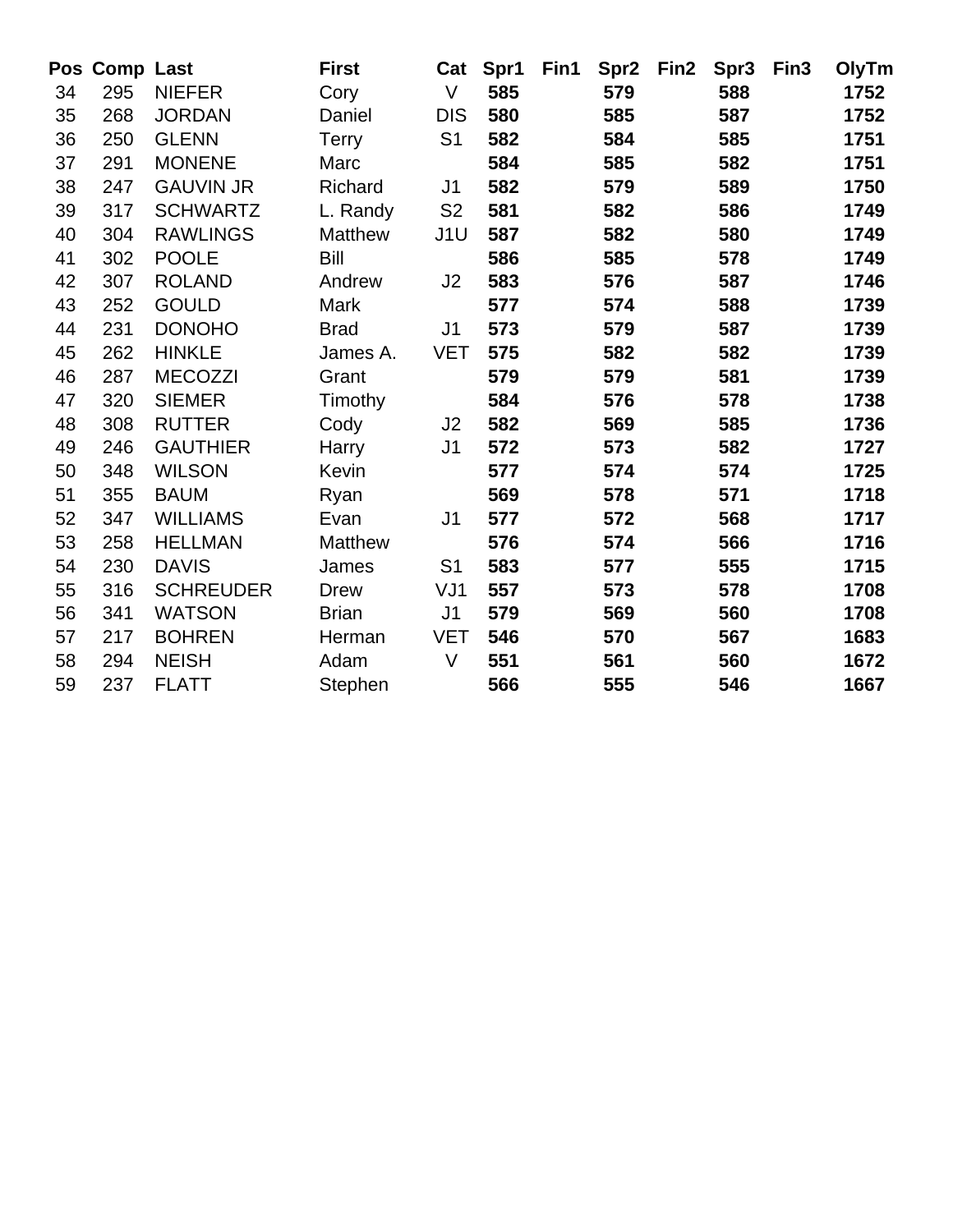|    | Pos Comp Last |                  | <b>First</b>   | Cat             | Spr1 | Fin1 | Spr <sub>2</sub> | Fin2 | Spr <sub>3</sub> | Fin <sub>3</sub> | OlyTm |
|----|---------------|------------------|----------------|-----------------|------|------|------------------|------|------------------|------------------|-------|
| 34 | 295           | <b>NIEFER</b>    | Cory           | $\vee$          | 585  |      | 579              |      | 588              |                  | 1752  |
| 35 | 268           | <b>JORDAN</b>    | Daniel         | <b>DIS</b>      | 580  |      | 585              |      | 587              |                  | 1752  |
| 36 | 250           | <b>GLENN</b>     | <b>Terry</b>   | S <sub>1</sub>  | 582  |      | 584              |      | 585              |                  | 1751  |
| 37 | 291           | <b>MONENE</b>    | Marc           |                 | 584  |      | 585              |      | 582              |                  | 1751  |
| 38 | 247           | <b>GAUVIN JR</b> | Richard        | J <sub>1</sub>  | 582  |      | 579              |      | 589              |                  | 1750  |
| 39 | 317           | <b>SCHWARTZ</b>  | L. Randy       | S <sub>2</sub>  | 581  |      | 582              |      | 586              |                  | 1749  |
| 40 | 304           | <b>RAWLINGS</b>  | <b>Matthew</b> | J <sub>1U</sub> | 587  |      | 582              |      | 580              |                  | 1749  |
| 41 | 302           | <b>POOLE</b>     | Bill           |                 | 586  |      | 585              |      | 578              |                  | 1749  |
| 42 | 307           | <b>ROLAND</b>    | Andrew         | J2              | 583  |      | 576              |      | 587              |                  | 1746  |
| 43 | 252           | <b>GOULD</b>     | Mark           |                 | 577  |      | 574              |      | 588              |                  | 1739  |
| 44 | 231           | <b>DONOHO</b>    | <b>Brad</b>    | J <sub>1</sub>  | 573  |      | 579              |      | 587              |                  | 1739  |
| 45 | 262           | <b>HINKLE</b>    | James A.       | <b>VET</b>      | 575  |      | 582              |      | 582              |                  | 1739  |
| 46 | 287           | <b>MECOZZI</b>   | Grant          |                 | 579  |      | 579              |      | 581              |                  | 1739  |
| 47 | 320           | <b>SIEMER</b>    | Timothy        |                 | 584  |      | 576              |      | 578              |                  | 1738  |
| 48 | 308           | <b>RUTTER</b>    | Cody           | J2              | 582  |      | 569              |      | 585              |                  | 1736  |
| 49 | 246           | <b>GAUTHIER</b>  | Harry          | J <sub>1</sub>  | 572  |      | 573              |      | 582              |                  | 1727  |
| 50 | 348           | <b>WILSON</b>    | <b>Kevin</b>   |                 | 577  |      | 574              |      | 574              |                  | 1725  |
| 51 | 355           | <b>BAUM</b>      | Ryan           |                 | 569  |      | 578              |      | 571              |                  | 1718  |
| 52 | 347           | <b>WILLIAMS</b>  | Evan           | J <sub>1</sub>  | 577  |      | 572              |      | 568              |                  | 1717  |
| 53 | 258           | <b>HELLMAN</b>   | <b>Matthew</b> |                 | 576  |      | 574              |      | 566              |                  | 1716  |
| 54 | 230           | <b>DAVIS</b>     | James          | S <sub>1</sub>  | 583  |      | 577              |      | 555              |                  | 1715  |
| 55 | 316           | <b>SCHREUDER</b> | <b>Drew</b>    | VJ1             | 557  |      | 573              |      | 578              |                  | 1708  |
| 56 | 341           | <b>WATSON</b>    | <b>Brian</b>   | J <sub>1</sub>  | 579  |      | 569              |      | 560              |                  | 1708  |
| 57 | 217           | <b>BOHREN</b>    | Herman         | <b>VET</b>      | 546  |      | 570              |      | 567              |                  | 1683  |
| 58 | 294           | <b>NEISH</b>     | Adam           | $\vee$          | 551  |      | 561              |      | 560              |                  | 1672  |
| 59 | 237           | <b>FLATT</b>     | Stephen        |                 | 566  |      | 555              |      | 546              |                  | 1667  |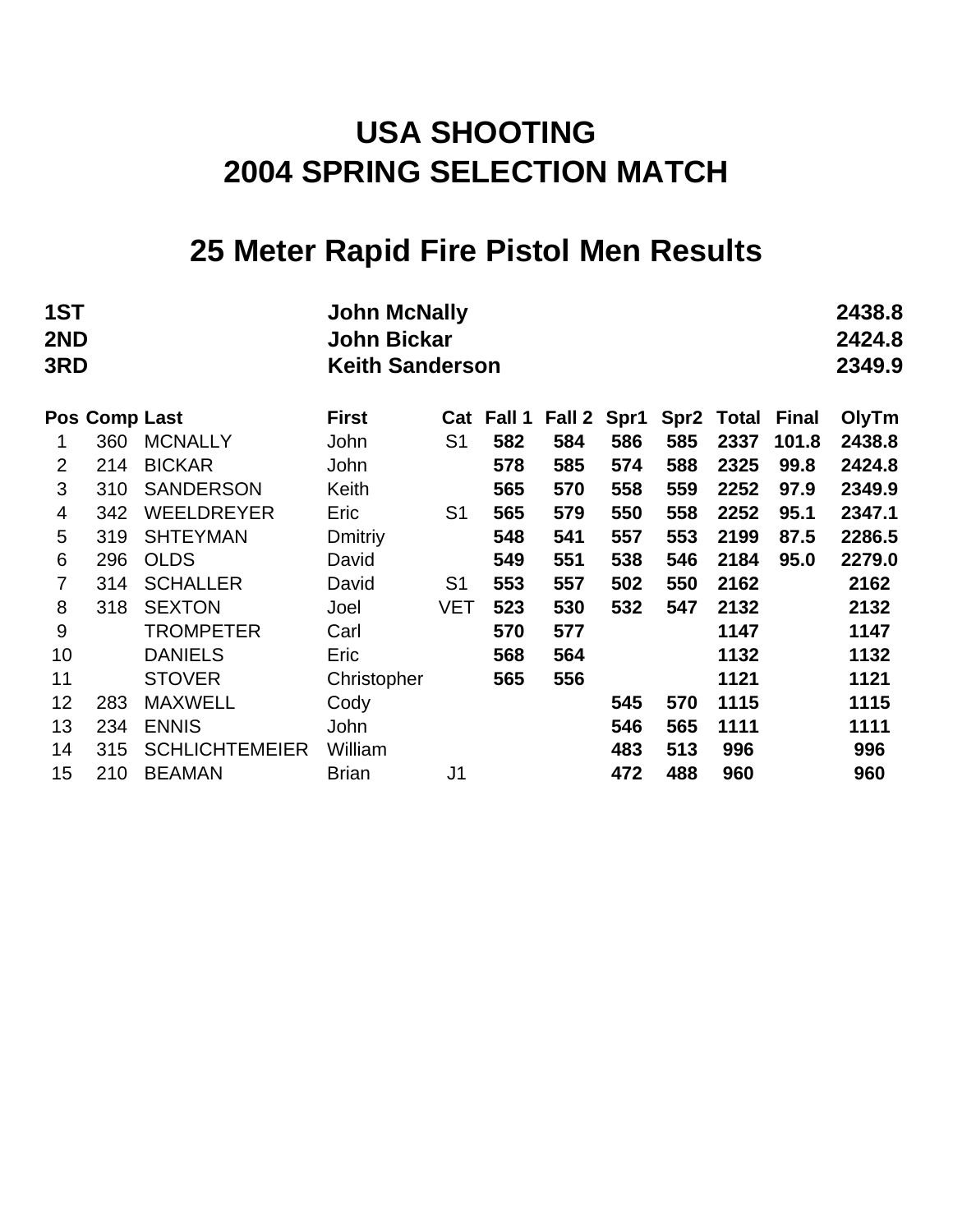## **25 Meter Rapid Fire Pistol Men Results**

| 1ST<br>2ND<br>3RD |               |                       | <b>John McNally</b><br><b>John Bickar</b><br><b>Keith Sanderson</b> |                |            |             |     |     |                  |       |        |  |
|-------------------|---------------|-----------------------|---------------------------------------------------------------------|----------------|------------|-------------|-----|-----|------------------|-------|--------|--|
|                   | Pos Comp Last |                       | <b>First</b>                                                        |                | Cat Fall 1 | Fall 2 Spr1 |     |     | Spr2 Total Final |       | OlyTm  |  |
| 1                 | 360           | <b>MCNALLY</b>        | John                                                                | S <sub>1</sub> | 582        | 584         | 586 | 585 | 2337             | 101.8 | 2438.8 |  |
| 2                 | 214           | <b>BICKAR</b>         | John                                                                |                | 578        | 585         | 574 | 588 | 2325             | 99.8  | 2424.8 |  |
| 3                 | 310           | <b>SANDERSON</b>      | Keith                                                               |                | 565        | 570         | 558 | 559 | 2252             | 97.9  | 2349.9 |  |
| 4                 | 342           | <b>WEELDREYER</b>     | Eric                                                                | S <sub>1</sub> | 565        | 579         | 550 | 558 | 2252             | 95.1  | 2347.1 |  |
| 5                 | 319           | <b>SHTEYMAN</b>       | Dmitriy                                                             |                | 548        | 541         | 557 | 553 | 2199             | 87.5  | 2286.5 |  |
| 6                 | 296           | <b>OLDS</b>           | David                                                               |                | 549        | 551         | 538 | 546 | 2184             | 95.0  | 2279.0 |  |
| $\overline{7}$    | 314           | <b>SCHALLER</b>       | David                                                               | S <sub>1</sub> | 553        | 557         | 502 | 550 | 2162             |       | 2162   |  |
| 8                 | 318           | <b>SEXTON</b>         | Joel                                                                | <b>VET</b>     | 523        | 530         | 532 | 547 | 2132             |       | 2132   |  |
| 9                 |               | <b>TROMPETER</b>      | Carl                                                                |                | 570        | 577         |     |     | 1147             |       | 1147   |  |
| 10                |               | <b>DANIELS</b>        | Eric                                                                |                | 568        | 564         |     |     | 1132             |       | 1132   |  |
| 11                |               | <b>STOVER</b>         | Christopher                                                         |                | 565        | 556         |     |     | 1121             |       | 1121   |  |
| 12                | 283           | <b>MAXWELL</b>        | Cody                                                                |                |            |             | 545 | 570 | 1115             |       | 1115   |  |
| 13                | 234           | <b>ENNIS</b>          | John                                                                |                |            |             | 546 | 565 | 1111             |       | 1111   |  |
| 14                | 315           | <b>SCHLICHTEMEIER</b> | William                                                             |                |            |             | 483 | 513 | 996              |       | 996    |  |
| 15                | 210           | <b>BEAMAN</b>         | <b>Brian</b>                                                        | J <sub>1</sub> |            |             | 472 | 488 | 960              |       | 960    |  |
|                   |               |                       |                                                                     |                |            |             |     |     |                  |       |        |  |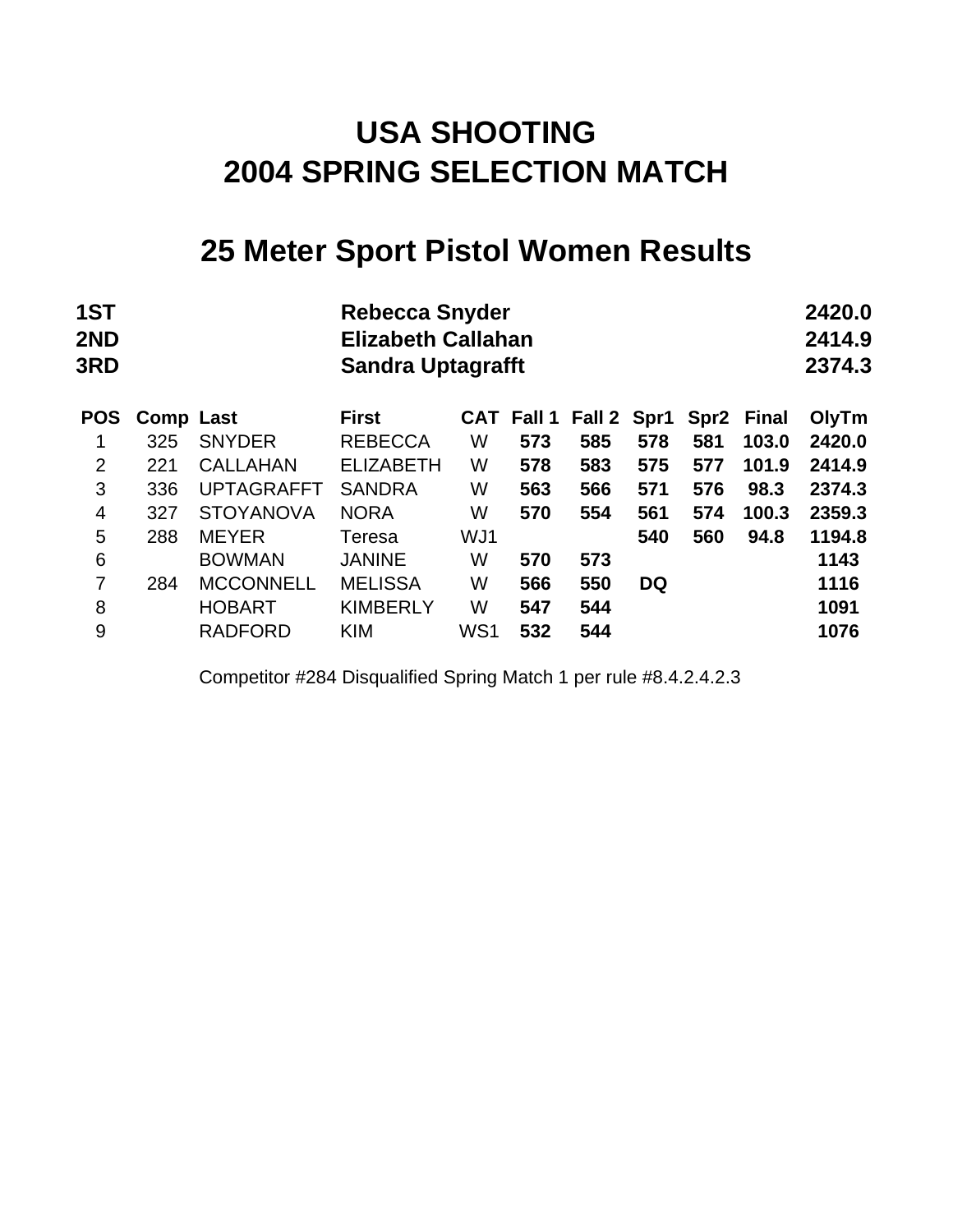### **25 Meter Sport Pistol Women Results**

| 1ST<br>2ND<br><b>3RD</b> |                  |                   | <b>Rebecca Snyder</b><br><b>Elizabeth Callahan</b><br><b>Sandra Uptagrafft</b> |     |                   |        |           |                  |              | 2420.0<br>2414.9<br>2374.3 |
|--------------------------|------------------|-------------------|--------------------------------------------------------------------------------|-----|-------------------|--------|-----------|------------------|--------------|----------------------------|
| <b>POS</b>               | <b>Comp Last</b> |                   | <b>First</b>                                                                   |     | <b>CAT Fall 1</b> | Fall 2 | Spr1      | Spr <sub>2</sub> | <b>Final</b> | OlyTm                      |
|                          | 325              | <b>SNYDER</b>     | <b>REBECCA</b>                                                                 | W   | 573               | 585    | 578       | 581              | 103.0        | 2420.0                     |
| $\overline{2}$           | 221              | <b>CALLAHAN</b>   | <b>ELIZABETH</b>                                                               | W   | 578               | 583    | 575       | 577              | 101.9        | 2414.9                     |
| 3                        | 336              | <b>UPTAGRAFFT</b> | <b>SANDRA</b>                                                                  | W   | 563               | 566    | 571       | 576              | 98.3         | 2374.3                     |
| $\overline{4}$           | 327              | <b>STOYANOVA</b>  | <b>NORA</b>                                                                    | W   | 570               | 554    | 561       | 574              | 100.3        | 2359.3                     |
| 5                        | 288              | <b>MEYER</b>      | Teresa                                                                         | WJ1 |                   |        | 540       | 560              | 94.8         | 1194.8                     |
| 6                        |                  | <b>BOWMAN</b>     | <b>JANINE</b>                                                                  | W   | 570               | 573    |           |                  |              | 1143                       |
| 7                        | 284              | <b>MCCONNELL</b>  | <b>MELISSA</b>                                                                 | W   | 566               | 550    | <b>DQ</b> |                  |              | 1116                       |
| 8                        |                  | <b>HOBART</b>     | <b>KIMBERLY</b>                                                                | W   | 547               | 544    |           |                  |              | 1091                       |
| 9                        |                  | <b>RADFORD</b>    | <b>KIM</b>                                                                     | WS1 | 532               | 544    |           |                  |              | 1076                       |
|                          |                  |                   |                                                                                |     |                   |        |           |                  |              |                            |

Competitor #284 Disqualified Spring Match 1 per rule #8.4.2.4.2.3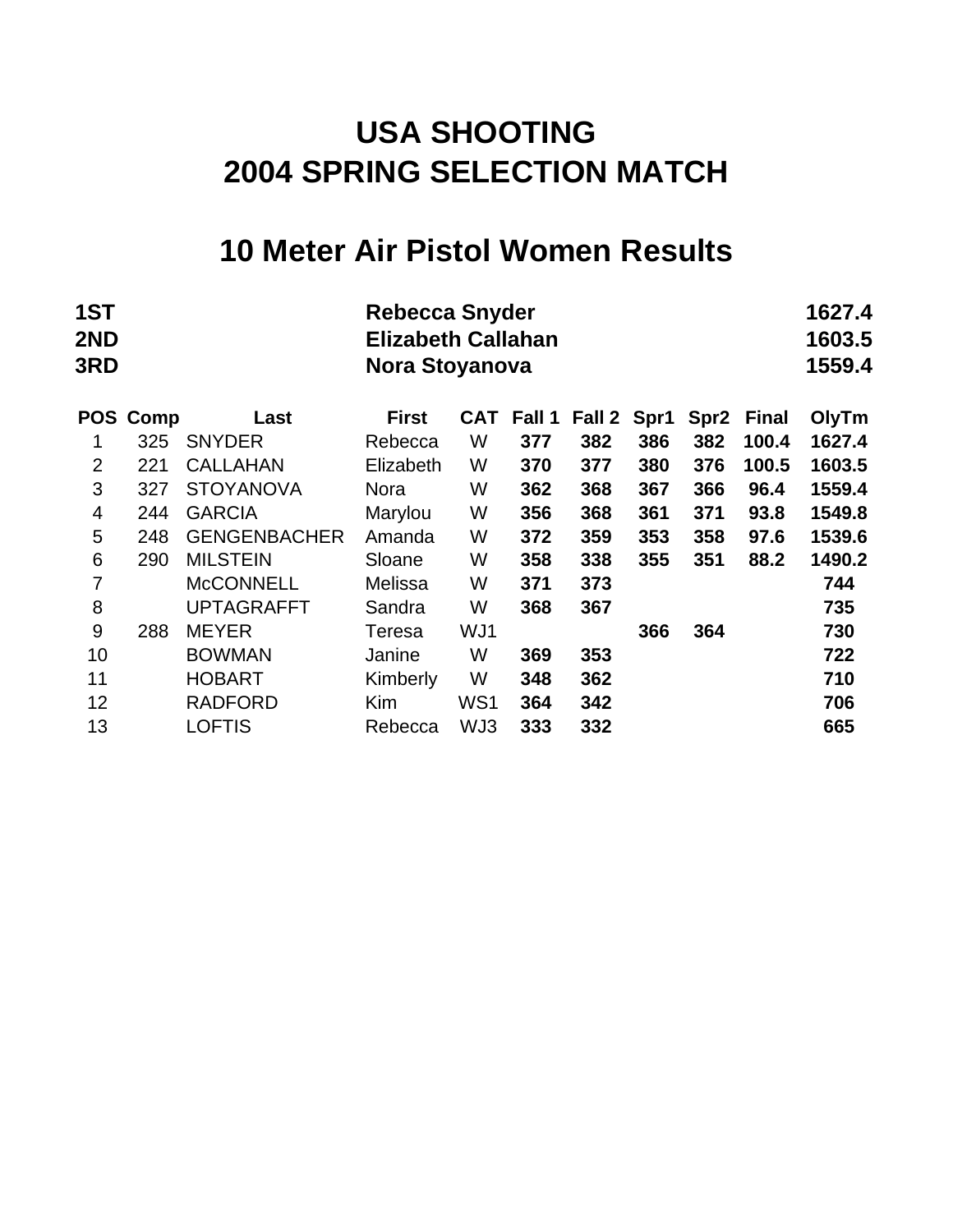### **10 Meter Air Pistol Women Results**

| 1ST<br>2ND<br>3RD |      |                     | <b>Rebecca Snyder</b><br><b>Elizabeth Callahan</b><br>Nora Stoyanova |            |        |        |      |                  |              | 1627.4<br>1603.5<br>1559.4 |
|-------------------|------|---------------------|----------------------------------------------------------------------|------------|--------|--------|------|------------------|--------------|----------------------------|
| <b>POS</b>        | Comp | Last                | <b>First</b>                                                         | <b>CAT</b> | Fall 1 | Fall 2 | Spr1 | Spr <sub>2</sub> | <b>Final</b> | OlyTm                      |
| 1                 | 325  | <b>SNYDER</b>       | Rebecca                                                              | W          | 377    | 382    | 386  | 382              | 100.4        | 1627.4                     |
| $\overline{2}$    | 221  | <b>CALLAHAN</b>     | Elizabeth                                                            | W          | 370    | 377    | 380  | 376              | 100.5        | 1603.5                     |
| 3                 | 327  | <b>STOYANOVA</b>    | <b>Nora</b>                                                          | W          | 362    | 368    | 367  | 366              | 96.4         | 1559.4                     |
| 4                 | 244  | <b>GARCIA</b>       | Marylou                                                              | W          | 356    | 368    | 361  | 371              | 93.8         | 1549.8                     |
| 5                 | 248  | <b>GENGENBACHER</b> | Amanda                                                               | W          | 372    | 359    | 353  | 358              | 97.6         | 1539.6                     |
| 6                 | 290  | <b>MILSTEIN</b>     | Sloane                                                               | W          | 358    | 338    | 355  | 351              | 88.2         | 1490.2                     |
| $\overline{7}$    |      | <b>McCONNELL</b>    | Melissa                                                              | W          | 371    | 373    |      |                  |              | 744                        |
| 8                 |      | <b>UPTAGRAFFT</b>   | Sandra                                                               | W          | 368    | 367    |      |                  |              | 735                        |
| 9                 | 288  | <b>MEYER</b>        | Teresa                                                               | WJ1        |        |        | 366  | 364              |              | 730                        |
| 10                |      | <b>BOWMAN</b>       | Janine                                                               | W          | 369    | 353    |      |                  |              | 722                        |
| 11                |      | <b>HOBART</b>       | Kimberly                                                             | W          | 348    | 362    |      |                  |              | 710                        |
| 12                |      | <b>RADFORD</b>      | <b>Kim</b>                                                           | WS1        | 364    | 342    |      |                  |              | 706                        |
| 13                |      | <b>LOFTIS</b>       | Rebecca                                                              | WJ3        | 333    | 332    |      |                  |              | 665                        |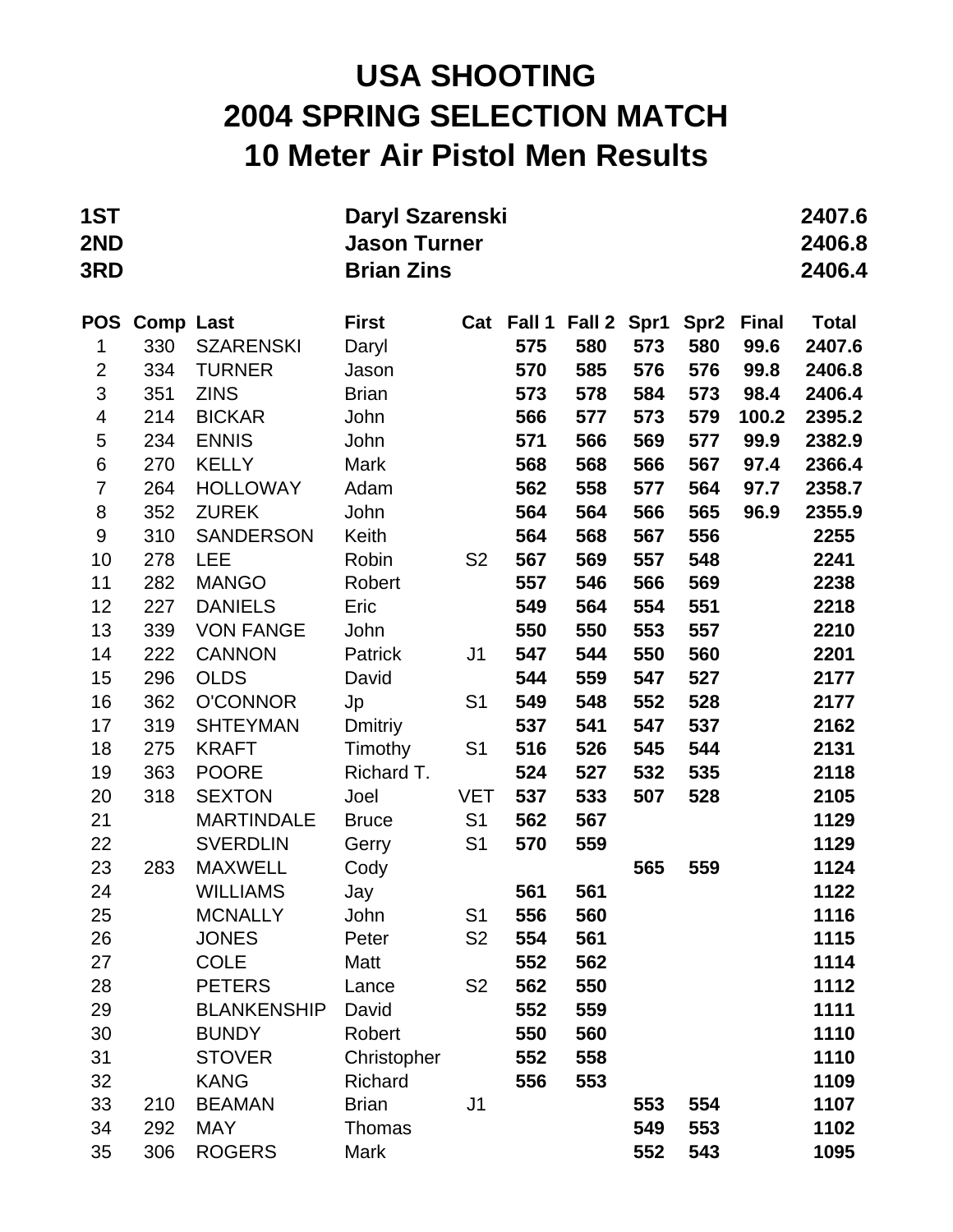## **USA SHOOTING 2004 SPRING SELECTION MATCH 10 Meter Air Pistol Men Results**

| 1ST<br>2ND<br>3RD |                  |                    | Daryl Szarenski<br><b>Jason Turner</b><br><b>Brian Zins</b> |                |        |             |     |                  |              | 2407.6<br>2406.8<br>2406.4 |
|-------------------|------------------|--------------------|-------------------------------------------------------------|----------------|--------|-------------|-----|------------------|--------------|----------------------------|
| <b>POS</b>        | <b>Comp Last</b> |                    | <b>First</b>                                                | Cat            | Fall 1 | Fall 2 Spr1 |     | Spr <sub>2</sub> | <b>Final</b> | <b>Total</b>               |
| 1                 | 330              | <b>SZARENSKI</b>   | Daryl                                                       |                | 575    | 580         | 573 | 580              | 99.6         | 2407.6                     |
| $\overline{2}$    | 334              | <b>TURNER</b>      | Jason                                                       |                | 570    | 585         | 576 | 576              | 99.8         | 2406.8                     |
| 3                 | 351              | <b>ZINS</b>        | <b>Brian</b>                                                |                | 573    | 578         | 584 | 573              | 98.4         | 2406.4                     |
| 4                 | 214              | <b>BICKAR</b>      | John                                                        |                | 566    | 577         | 573 | 579              | 100.2        | 2395.2                     |
| 5                 | 234              | <b>ENNIS</b>       | John                                                        |                | 571    | 566         | 569 | 577              | 99.9         | 2382.9                     |
| $\,6$             | 270              | <b>KELLY</b>       | Mark                                                        |                | 568    | 568         | 566 | 567              | 97.4         | 2366.4                     |
| $\overline{7}$    | 264              | <b>HOLLOWAY</b>    | Adam                                                        |                | 562    | 558         | 577 | 564              | 97.7         | 2358.7                     |
| 8                 | 352              | <b>ZUREK</b>       | John                                                        |                | 564    | 564         | 566 | 565              | 96.9         | 2355.9                     |
| $\boldsymbol{9}$  | 310              | <b>SANDERSON</b>   | Keith                                                       |                | 564    | 568         | 567 | 556              |              | 2255                       |
| 10                | 278              | <b>LEE</b>         | Robin                                                       | S <sub>2</sub> | 567    | 569         | 557 | 548              |              | 2241                       |
| 11                | 282              | <b>MANGO</b>       | Robert                                                      |                | 557    | 546         | 566 | 569              |              | 2238                       |
| 12                | 227              | <b>DANIELS</b>     | Eric                                                        |                | 549    | 564         | 554 | 551              |              | 2218                       |
| 13                | 339              | <b>VON FANGE</b>   | John                                                        |                | 550    | 550         | 553 | 557              |              | 2210                       |
| 14                | 222              | <b>CANNON</b>      | Patrick                                                     | J <sub>1</sub> | 547    | 544         | 550 | 560              |              | 2201                       |
| 15                | 296              | <b>OLDS</b>        | David                                                       |                | 544    | 559         | 547 | 527              |              | 2177                       |
| 16                | 362              | <b>O'CONNOR</b>    | Jp                                                          | S <sub>1</sub> | 549    | 548         | 552 | 528              |              | 2177                       |
| 17                | 319              | <b>SHTEYMAN</b>    | Dmitriy                                                     |                | 537    | 541         | 547 | 537              |              | 2162                       |
| 18                | 275              | <b>KRAFT</b>       | Timothy                                                     | S <sub>1</sub> | 516    | 526         | 545 | 544              |              | 2131                       |
| 19                | 363              | <b>POORE</b>       | Richard T.                                                  |                | 524    | 527         | 532 | 535              |              | 2118                       |
| 20                | 318              | <b>SEXTON</b>      | Joel                                                        | <b>VET</b>     | 537    | 533         | 507 | 528              |              | 2105                       |
| 21                |                  | <b>MARTINDALE</b>  | <b>Bruce</b>                                                | S <sub>1</sub> | 562    | 567         |     |                  |              | 1129                       |
| 22                |                  | <b>SVERDLIN</b>    | Gerry                                                       | S <sub>1</sub> | 570    | 559         |     |                  |              | 1129                       |
| 23                | 283              | <b>MAXWELL</b>     | Cody                                                        |                |        |             | 565 | 559              |              | 1124                       |
| 24                |                  | <b>WILLIAMS</b>    | Jay                                                         |                | 561    | 561         |     |                  |              | 1122                       |
| 25                |                  | <b>MCNALLY</b>     | John                                                        | S <sub>1</sub> | 556    | 560         |     |                  |              | 1116                       |
| 26                |                  | <b>JONES</b>       | Peter                                                       | S <sub>2</sub> | 554    | 561         |     |                  |              | 1115                       |
| 27                |                  | <b>COLE</b>        | Matt                                                        |                | 552    | 562         |     |                  |              | 1114                       |
| 28                |                  | <b>PETERS</b>      | Lance                                                       | S <sub>2</sub> | 562    | 550         |     |                  |              | 1112                       |
| 29                |                  | <b>BLANKENSHIP</b> | David                                                       |                | 552    | 559         |     |                  |              | 1111                       |
| 30                |                  | <b>BUNDY</b>       | Robert                                                      |                | 550    | 560         |     |                  |              | 1110                       |
| 31                |                  | <b>STOVER</b>      | Christopher                                                 |                | 552    | 558         |     |                  |              | 1110                       |
| 32                |                  | <b>KANG</b>        | Richard                                                     |                | 556    | 553         |     |                  |              | 1109                       |
| 33                | 210              | <b>BEAMAN</b>      | <b>Brian</b>                                                | J1             |        |             | 553 | 554              |              | 1107                       |
| 34                | 292              | <b>MAY</b>         | Thomas                                                      |                |        |             | 549 | 553              |              | 1102                       |
| 35                | 306              | <b>ROGERS</b>      | Mark                                                        |                |        |             | 552 | 543              |              | 1095                       |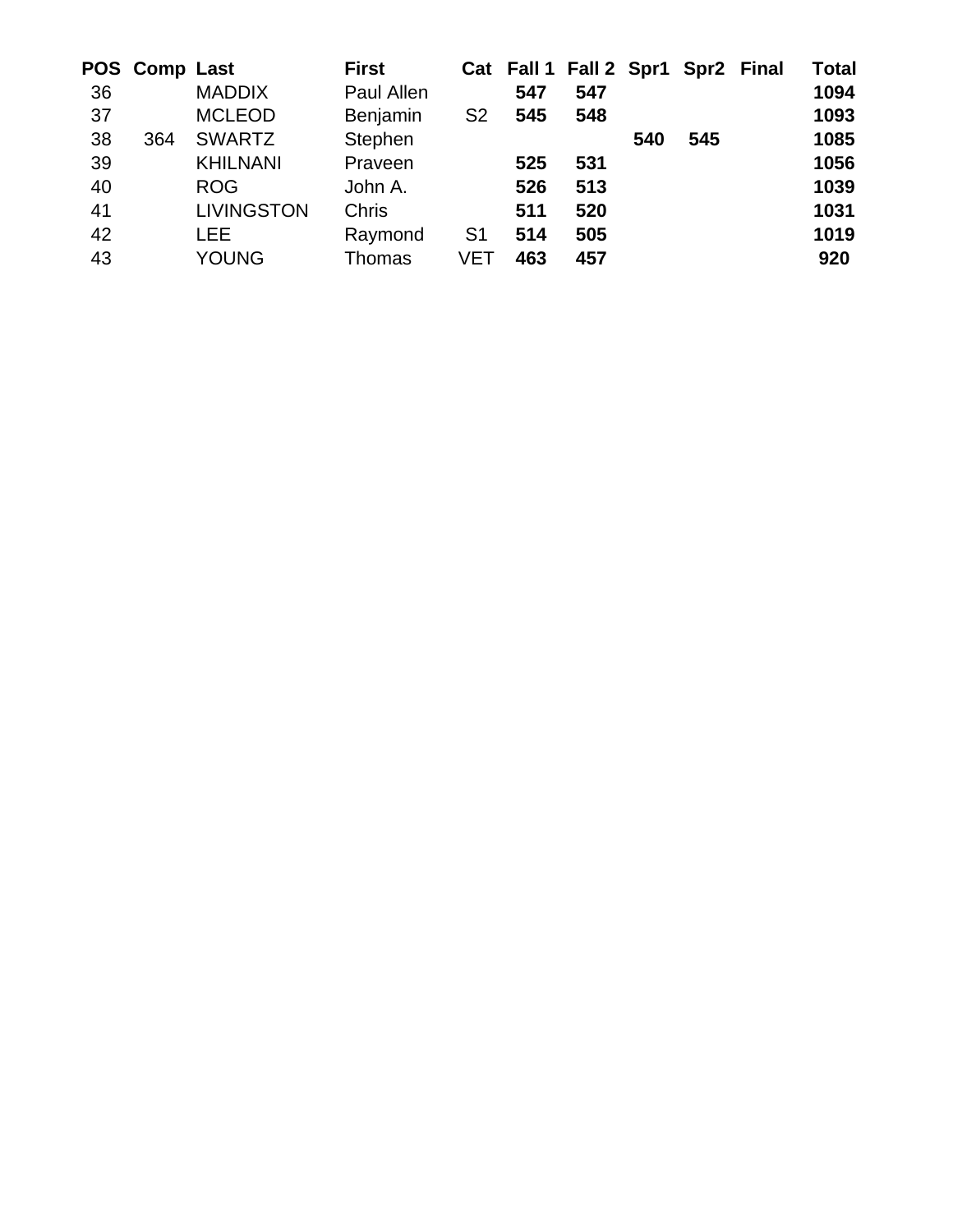|    | POS Comp Last |                   | <b>First</b> |                |     | Cat Fall 1 Fall 2 Spr1 Spr2 Final |     |     | <b>Total</b> |
|----|---------------|-------------------|--------------|----------------|-----|-----------------------------------|-----|-----|--------------|
| 36 |               | <b>MADDIX</b>     | Paul Allen   |                | 547 | 547                               |     |     | 1094         |
| 37 |               | <b>MCLEOD</b>     | Benjamin     | S <sub>2</sub> | 545 | 548                               |     |     | 1093         |
| 38 | 364           | <b>SWARTZ</b>     | Stephen      |                |     |                                   | 540 | 545 | 1085         |
| 39 |               | <b>KHILNANI</b>   | Praveen      |                | 525 | 531                               |     |     | 1056         |
| 40 |               | <b>ROG</b>        | John A.      |                | 526 | 513                               |     |     | 1039         |
| 41 |               | <b>LIVINGSTON</b> | <b>Chris</b> |                | 511 | 520                               |     |     | 1031         |
| 42 |               | <b>LEE</b>        | Raymond      | S <sub>1</sub> | 514 | 505                               |     |     | 1019         |
| 43 |               | YOUNG             | Thomas       | VET            | 463 | 457                               |     |     | 920          |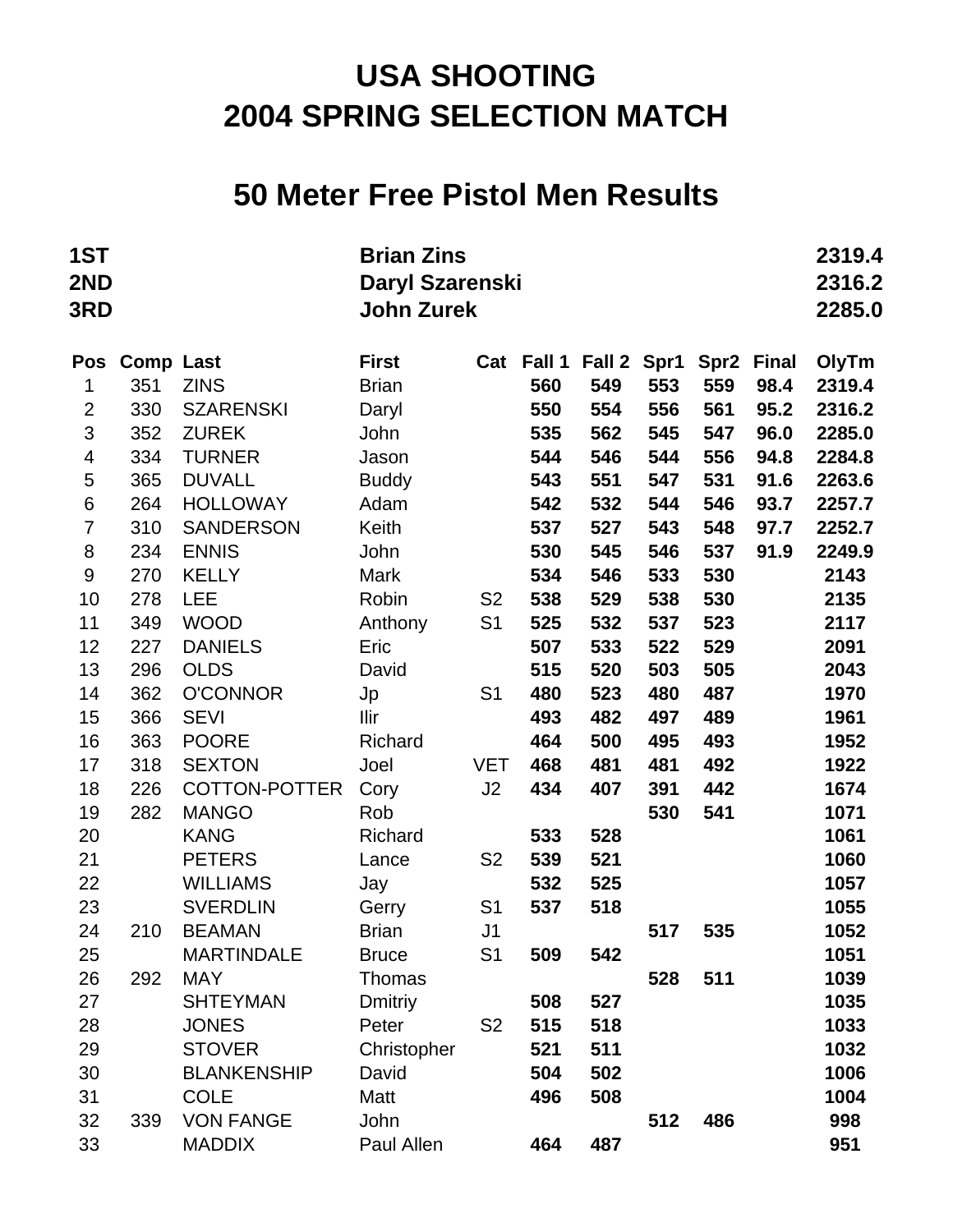#### **50 Meter Free Pistol Men Results**

| 1ST<br>2ND<br>3RD       |                  |                                | <b>Brian Zins</b><br>Daryl Szarenski<br><b>John Zurek</b> |                |            |            |            |                  |              |              |
|-------------------------|------------------|--------------------------------|-----------------------------------------------------------|----------------|------------|------------|------------|------------------|--------------|--------------|
| <b>Pos</b>              | <b>Comp Last</b> |                                | <b>First</b>                                              |                | Cat Fall 1 | Fall 2     | Spr1       | Spr <sub>2</sub> | <b>Final</b> | OlyTm        |
| 1                       | 351              | <b>ZINS</b>                    | <b>Brian</b>                                              |                | 560        | 549        | 553        | 559              | 98.4         | 2319.4       |
| $\mathbf 2$             | 330              | <b>SZARENSKI</b>               | Daryl                                                     |                | 550        | 554        | 556        | 561              | 95.2         | 2316.2       |
| 3                       | 352              | <b>ZUREK</b>                   | John                                                      |                | 535        | 562        | 545        | 547              | 96.0         | 2285.0       |
| $\overline{\mathbf{4}}$ | 334              | <b>TURNER</b>                  | Jason                                                     |                | 544        | 546        | 544        | 556              | 94.8         | 2284.8       |
| 5                       | 365              | <b>DUVALL</b>                  | <b>Buddy</b>                                              |                | 543        | 551        | 547        | 531              | 91.6         | 2263.6       |
| $\,6$                   | 264              | <b>HOLLOWAY</b>                | Adam                                                      |                | 542        | 532        | 544        | 546              | 93.7         | 2257.7       |
| $\overline{7}$          | 310              | <b>SANDERSON</b>               | Keith                                                     |                | 537        | 527        | 543        | 548              | 97.7         | 2252.7       |
| 8                       | 234              | <b>ENNIS</b>                   | John                                                      |                | 530        | 545        | 546        | 537              | 91.9         | 2249.9       |
| $\boldsymbol{9}$        | 270              | <b>KELLY</b>                   | Mark                                                      |                | 534        | 546        | 533        | 530              |              | 2143         |
| 10                      | 278              | <b>LEE</b>                     | Robin                                                     | S <sub>2</sub> | 538        | 529        | 538        | 530              |              | 2135         |
| 11                      | 349              | <b>WOOD</b>                    | Anthony                                                   | S <sub>1</sub> | 525        | 532        | 537        | 523              |              | 2117         |
| 12                      | 227              | <b>DANIELS</b>                 | Eric                                                      |                | 507        | 533        | 522        | 529              |              | 2091         |
| 13                      | 296              | <b>OLDS</b>                    | David                                                     |                | 515        | 520        | 503        | 505              |              | 2043         |
| 14<br>15                | 362<br>366       | <b>O'CONNOR</b><br><b>SEVI</b> | Jp<br>Ilir                                                | S <sub>1</sub> | 480<br>493 | 523<br>482 | 480<br>497 | 487<br>489       |              | 1970<br>1961 |
| 16                      | 363              | <b>POORE</b>                   | Richard                                                   |                | 464        | 500        | 495        | 493              |              | 1952         |
| 17                      | 318              | <b>SEXTON</b>                  | Joel                                                      | <b>VET</b>     | 468        | 481        | 481        | 492              |              | 1922         |
| 18                      | 226              | <b>COTTON-POTTER</b>           | Cory                                                      | J2             | 434        | 407        | 391        | 442              |              | 1674         |
| 19                      | 282              | <b>MANGO</b>                   | Rob                                                       |                |            |            | 530        | 541              |              | 1071         |
| 20                      |                  | <b>KANG</b>                    | Richard                                                   |                | 533        | 528        |            |                  |              | 1061         |
| 21                      |                  | <b>PETERS</b>                  | Lance                                                     | S <sub>2</sub> | 539        | 521        |            |                  |              | 1060         |
| 22                      |                  | <b>WILLIAMS</b>                | Jay                                                       |                | 532        | 525        |            |                  |              | 1057         |
| 23                      |                  | <b>SVERDLIN</b>                | Gerry                                                     | S <sub>1</sub> | 537        | 518        |            |                  |              | 1055         |
| 24                      | 210              | <b>BEAMAN</b>                  | <b>Brian</b>                                              | J <sub>1</sub> |            |            | 517        | 535              |              | 1052         |
| 25                      |                  | <b>MARTINDALE</b>              | <b>Bruce</b>                                              | S <sub>1</sub> | 509        | 542        |            |                  |              | 1051         |
| 26                      | 292              | <b>MAY</b>                     | Thomas                                                    |                |            |            | 528        | 511              |              | 1039         |
| 27                      |                  | <b>SHTEYMAN</b>                | <b>Dmitriy</b>                                            |                | 508        | 527        |            |                  |              | 1035         |
| 28                      |                  | <b>JONES</b>                   | Peter                                                     | S <sub>2</sub> | 515        | 518        |            |                  |              | 1033         |
| 29                      |                  | <b>STOVER</b>                  | Christopher                                               |                | 521        | 511        |            |                  |              | 1032         |
| 30                      |                  | <b>BLANKENSHIP</b>             | David                                                     |                | 504        | 502        |            |                  |              | 1006         |
| 31                      |                  | <b>COLE</b>                    | Matt                                                      |                | 496        | 508        |            |                  |              | 1004         |
| 32                      | 339              | <b>VON FANGE</b>               | John                                                      |                |            |            | 512        | 486              |              | 998          |
| 33                      |                  | <b>MADDIX</b>                  | Paul Allen                                                |                | 464        | 487        |            |                  |              | 951          |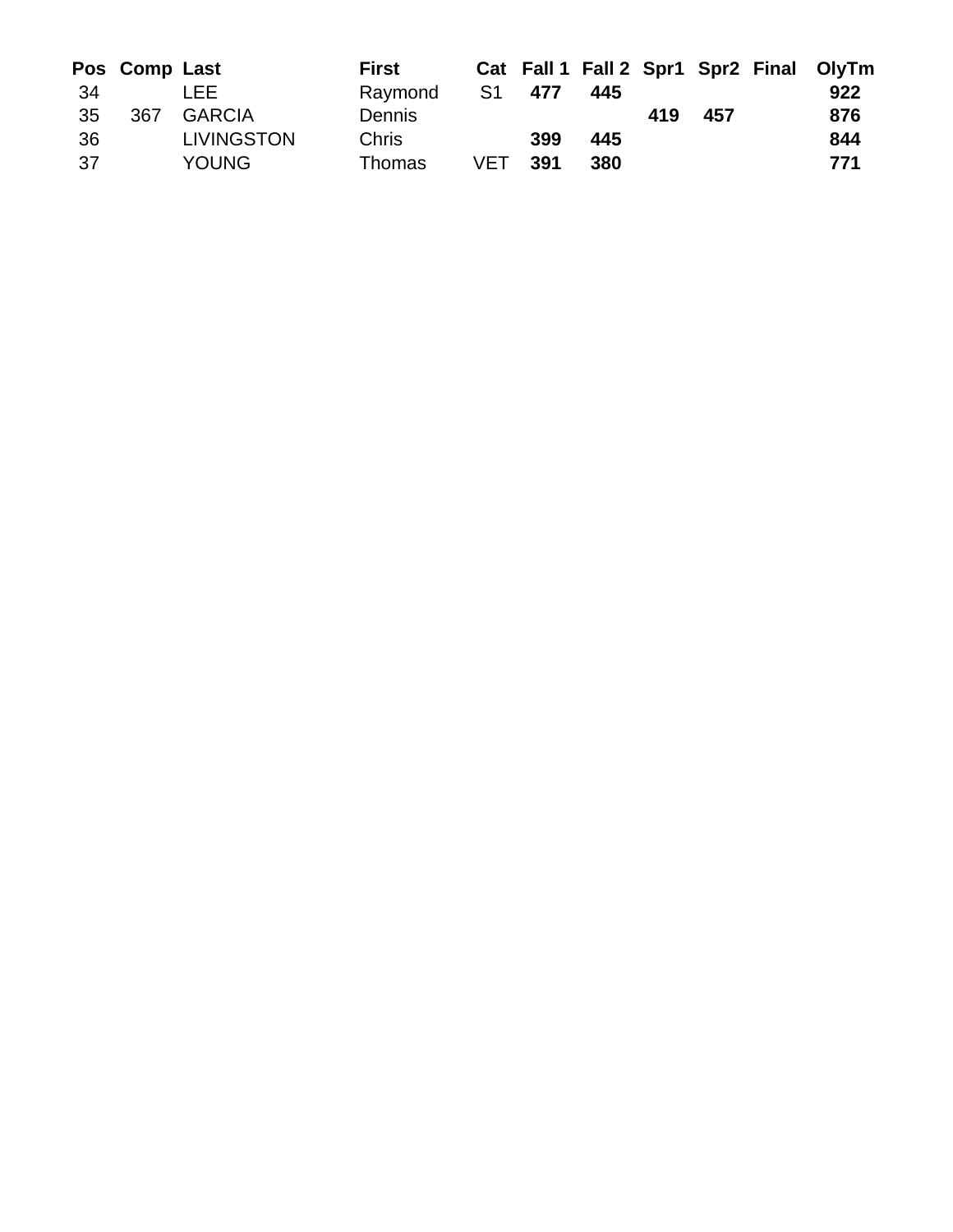|     | Pos Comp Last |                   | <b>First</b>  |     |     |     |     |     | Cat Fall 1 Fall 2 Spr1 Spr2 Final OlyTm |
|-----|---------------|-------------------|---------------|-----|-----|-----|-----|-----|-----------------------------------------|
| -34 |               | LEE.              | Raymond       | S1  | 477 | 445 |     |     | 922                                     |
| 35  | 367           | <b>GARCIA</b>     | <b>Dennis</b> |     |     |     | 419 | 457 | 876                                     |
| 36  |               | <b>LIVINGSTON</b> | <b>Chris</b>  |     | 399 | 445 |     |     | 844                                     |
| 37  |               | <b>YOUNG</b>      | Thomas        | VET | 391 | 380 |     |     | 771                                     |